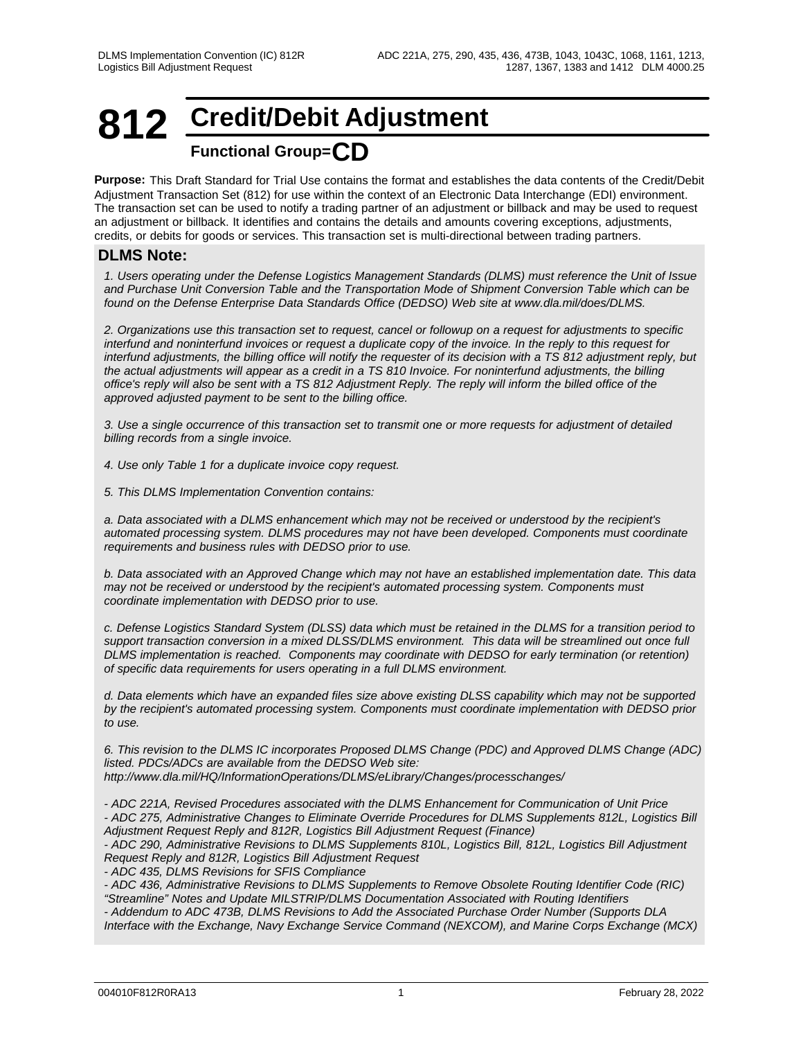## **812 Credit/Debit Adjustment Functional Group=CD**

**Purpose:** This Draft Standard for Trial Use contains the format and establishes the data contents of the Credit/Debit Adjustment Transaction Set (812) for use within the context of an Electronic Data Interchange (EDI) environment. The transaction set can be used to notify a trading partner of an adjustment or billback and may be used to request an adjustment or billback. It identifies and contains the details and amounts covering exceptions, adjustments, credits, or debits for goods or services. This transaction set is multi-directional between trading partners.

### **DLMS Note:**

*1. Users operating under the Defense Logistics Management Standards (DLMS) must reference the Unit of Issue and Purchase Unit Conversion Table and the Transportation Mode of Shipment Conversion Table which can be found on the Defense Enterprise Data Standards Office (DEDSO) Web site at www.dla.mil/does/DLMS.*

*2. Organizations use this transaction set to request, cancel or followup on a request for adjustments to specific interfund and noninterfund invoices or request a duplicate copy of the invoice. In the reply to this request for interfund adjustments, the billing office will notify the requester of its decision with a TS 812 adjustment reply, but the actual adjustments will appear as a credit in a TS 810 Invoice. For noninterfund adjustments, the billing office's reply will also be sent with a TS 812 Adjustment Reply. The reply will inform the billed office of the approved adjusted payment to be sent to the billing office.*

*3. Use a single occurrence of this transaction set to transmit one or more requests for adjustment of detailed billing records from a single invoice.* 

*4. Use only Table 1 for a duplicate invoice copy request.*

*5. This DLMS Implementation Convention contains:*

*a. Data associated with a DLMS enhancement which may not be received or understood by the recipient's automated processing system. DLMS procedures may not have been developed. Components must coordinate requirements and business rules with DEDSO prior to use.*

*b. Data associated with an Approved Change which may not have an established implementation date. This data may not be received or understood by the recipient's automated processing system. Components must coordinate implementation with DEDSO prior to use.*

*c. Defense Logistics Standard System (DLSS) data which must be retained in the DLMS for a transition period to support transaction conversion in a mixed DLSS/DLMS environment. This data will be streamlined out once full DLMS implementation is reached. Components may coordinate with DEDSO for early termination (or retention) of specific data requirements for users operating in a full DLMS environment.*

*d. Data elements which have an expanded files size above existing DLSS capability which may not be supported by the recipient's automated processing system. Components must coordinate implementation with DEDSO prior to use.*

*6. This revision to the DLMS IC incorporates Proposed DLMS Change (PDC) and Approved DLMS Change (ADC) listed. PDCs/ADCs are available from the DEDSO Web site: http://www.dla.mil/HQ/InformationOperations/DLMS/eLibrary/Changes/processchanges/*

*- ADC 221A, Revised Procedures associated with the DLMS Enhancement for Communication of Unit Price - ADC 275, Administrative Changes to Eliminate Override Procedures for DLMS Supplements 812L, Logistics Bill Adjustment Request Reply and 812R, Logistics Bill Adjustment Request (Finance)*

*- ADC 290, Administrative Revisions to DLMS Supplements 810L, Logistics Bill, 812L, Logistics Bill Adjustment Request Reply and 812R, Logistics Bill Adjustment Request*

*- ADC 435, DLMS Revisions for SFIS Compliance*

*- ADC 436, Administrative Revisions to DLMS Supplements to Remove Obsolete Routing Identifier Code (RIC) "Streamline" Notes and Update MILSTRIP/DLMS Documentation Associated with Routing Identifiers - Addendum to ADC 473B, DLMS Revisions to Add the Associated Purchase Order Number (Supports DLA*

*Interface with the Exchange, Navy Exchange Service Command (NEXCOM), and Marine Corps Exchange (MCX)*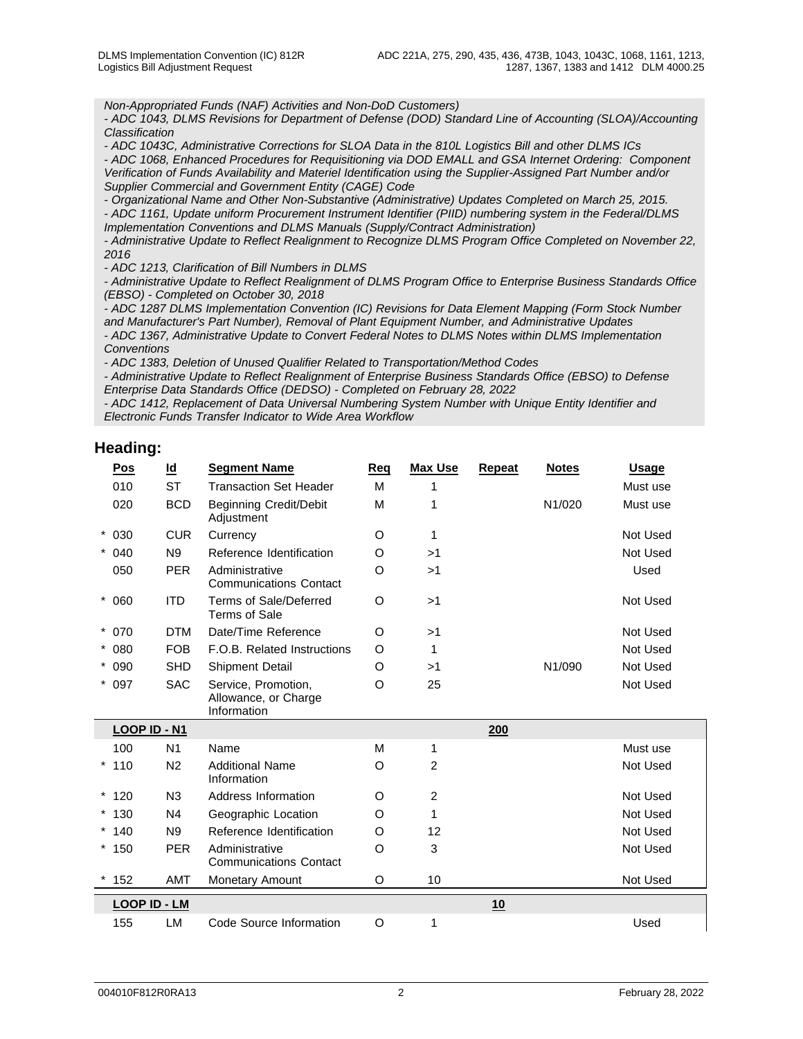*Non-Appropriated Funds (NAF) Activities and Non-DoD Customers)*

*- ADC 1043, DLMS Revisions for Department of Defense (DOD) Standard Line of Accounting (SLOA)/Accounting Classification*

*- ADC 1043C, Administrative Corrections for SLOA Data in the 810L Logistics Bill and other DLMS ICs*

*- ADC 1068, Enhanced Procedures for Requisitioning via DOD EMALL and GSA Internet Ordering: Component Verification of Funds Availability and Materiel Identification using the Supplier-Assigned Part Number and/or Supplier Commercial and Government Entity (CAGE) Code*

*- Organizational Name and Other Non-Substantive (Administrative) Updates Completed on March 25, 2015. - ADC 1161, Update uniform Procurement Instrument Identifier (PIID) numbering system in the Federal/DLMS Implementation Conventions and DLMS Manuals (Supply/Contract Administration)*

*- Administrative Update to Reflect Realignment to Recognize DLMS Program Office Completed on November 22, 2016*

*- ADC 1213, Clarification of Bill Numbers in DLMS*

*- Administrative Update to Reflect Realignment of DLMS Program Office to Enterprise Business Standards Office (EBSO) - Completed on October 30, 2018*

*- ADC 1287 DLMS Implementation Convention (IC) Revisions for Data Element Mapping (Form Stock Number and Manufacturer's Part Number), Removal of Plant Equipment Number, and Administrative Updates - ADC 1367, Administrative Update to Convert Federal Notes to DLMS Notes within DLMS Implementation Conventions* 

*- ADC 1383, Deletion of Unused Qualifier Related to Transportation/Method Codes*

*- Administrative Update to Reflect Realignment of Enterprise Business Standards Office (EBSO) to Defense Enterprise Data Standards Office (DEDSO) - Completed on February 28, 2022*

*- ADC 1412, Replacement of Data Universal Numbering System Number with Unique Entity Identifier and Electronic Funds Transfer Indicator to Wide Area Workflow*

## **Heading:**

| Pos                 | <u>ld</u>      | <b>Segment Name</b>                                        | <b>Req</b> | <b>Max Use</b> | <b>Repeat</b> | <b>Notes</b> | <b>Usage</b> |
|---------------------|----------------|------------------------------------------------------------|------------|----------------|---------------|--------------|--------------|
| 010                 | <b>ST</b>      | <b>Transaction Set Header</b>                              | M          |                |               |              | Must use     |
| 020                 | <b>BCD</b>     | <b>Beginning Credit/Debit</b><br>Adjustment                | M          |                |               | N1/020       | Must use     |
| $* 030$             | <b>CUR</b>     | Currency                                                   | O          | 1              |               |              | Not Used     |
| $* 040$             | N9             | Reference Identification                                   | $\circ$    | >1             |               |              | Not Used     |
| 050                 | <b>PER</b>     | Administrative<br><b>Communications Contact</b>            | O          | >1             |               |              | Used         |
| $* 060$             | <b>ITD</b>     | Terms of Sale/Deferred<br>Terms of Sale                    | O          | >1             |               |              | Not Used     |
| $* 070$             | <b>DTM</b>     | Date/Time Reference                                        | O          | >1             |               |              | Not Used     |
| $* 080$             | <b>FOB</b>     | F.O.B. Related Instructions                                | O          | 1              |               |              | Not Used     |
| $* 090$             | <b>SHD</b>     | Shipment Detail                                            | O          | >1             |               | N1/090       | Not Used     |
| $* 097$             | <b>SAC</b>     | Service, Promotion,<br>Allowance, or Charge<br>Information | O          | 25             |               |              | Not Used     |
| LOOP ID - N1        |                |                                                            |            |                | 200           |              |              |
| 100                 | N <sub>1</sub> | Name                                                       | M          | 1              |               |              | Must use     |
| $*110$              | N <sub>2</sub> | <b>Additional Name</b><br>Information                      | O          | 2              |               |              | Not Used     |
| $*120$              | N3             | Address Information                                        | O          | 2              |               |              | Not Used     |
| $*130$              | N4             | Geographic Location                                        | O          | 1              |               |              | Not Used     |
| $*140$              | N9             | Reference Identification                                   | O          | 12             |               |              | Not Used     |
| $*150$              | <b>PER</b>     | Administrative<br><b>Communications Contact</b>            | O          | 3              |               |              | Not Used     |
| $*152$              | <b>AMT</b>     | Monetary Amount                                            | O          | 10             |               |              | Not Used     |
| <b>LOOP ID - LM</b> |                |                                                            |            |                | 10            |              |              |
| 155                 | LM             | Code Source Information                                    | O          | 1              |               |              | Used         |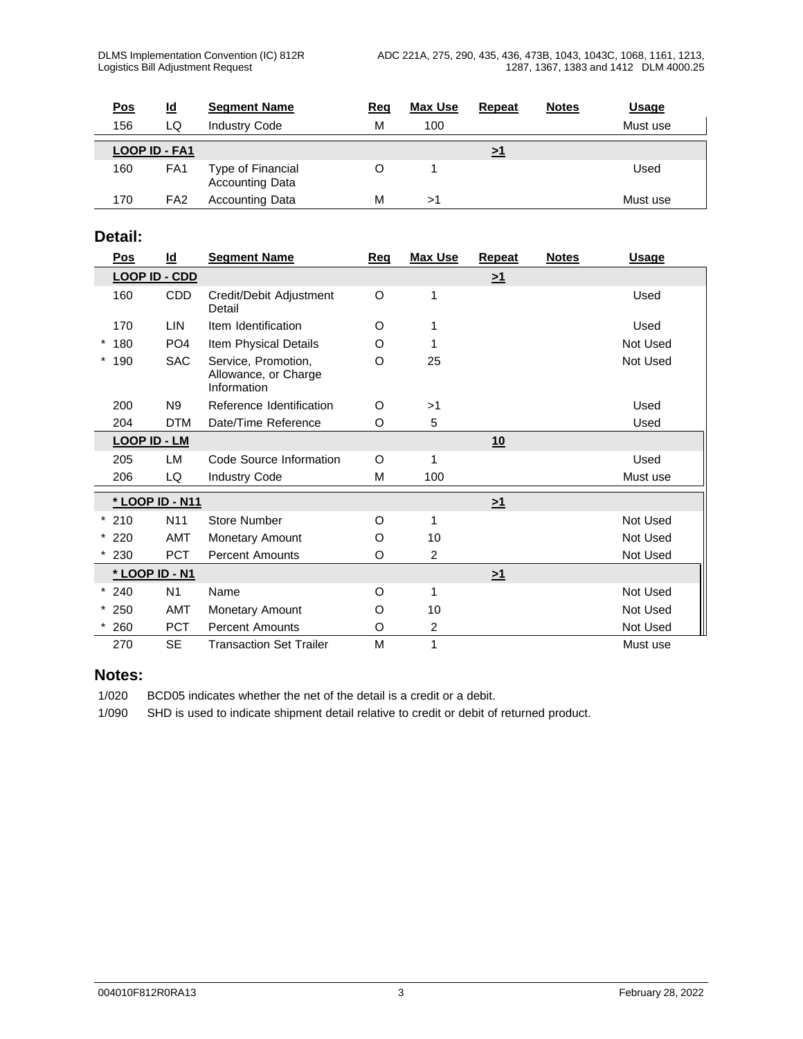| <u>Pos</u> | <u>ld</u>            | <b>Segment Name</b>                         | <u>Req</u> | <b>Max Use</b> | Repeat   | <b>Notes</b> | <u>Usage</u> |
|------------|----------------------|---------------------------------------------|------------|----------------|----------|--------------|--------------|
| 156        | LQ                   | <b>Industry Code</b>                        | М          | 100            |          |              | Must use     |
|            | <b>LOOP ID - FA1</b> |                                             |            |                | $\geq$ 1 |              |              |
| 160        | FA1                  | Type of Financial<br><b>Accounting Data</b> |            |                |          |              | Used         |
| 170        | FA <sub>2</sub>      | <b>Accounting Data</b>                      | M          | >′             |          |              | Must use     |

## **Detail:**

| Pos                 | $Id$            | <b>Segment Name</b>                                        | Req     | <b>Max Use</b> | Repeat   | <b>Notes</b> | <b>Usage</b> |
|---------------------|-----------------|------------------------------------------------------------|---------|----------------|----------|--------------|--------------|
|                     | LOOP ID - CDD   |                                                            |         |                | $\geq 1$ |              |              |
| 160                 | CDD             | Credit/Debit Adjustment<br>Detail                          | O       | 1              |          |              | Used         |
| 170                 | <b>LIN</b>      | Item Identification                                        | O       |                |          |              | Used         |
| 180                 | PO <sub>4</sub> | Item Physical Details                                      | O       |                |          |              | Not Used     |
| $\star$<br>190      | <b>SAC</b>      | Service, Promotion,<br>Allowance, or Charge<br>Information | O       | 25             |          |              | Not Used     |
| 200                 | N9              | Reference Identification                                   | O       | >1             |          |              | Used         |
| 204                 | <b>DTM</b>      | Date/Time Reference                                        | O       | 5              |          |              | Used         |
| <b>LOOP ID - LM</b> |                 |                                                            |         |                | 10       |              |              |
| 205                 | LM              | Code Source Information                                    | O       | 1              |          |              | Used         |
| 206                 | LQ              | <b>Industry Code</b>                                       | M       | 100            |          |              | Must use     |
|                     | * LOOP ID - N11 |                                                            |         |                | $\geq 1$ |              |              |
| $*210$              | N11             | <b>Store Number</b>                                        | $\circ$ | 1              |          |              | Not Used     |
| $*220$              | <b>AMT</b>      | Monetary Amount                                            | O       | 10             |          |              | Not Used     |
| $*230$              | <b>PCT</b>      | <b>Percent Amounts</b>                                     | O       | $\overline{a}$ |          |              | Not Used     |
| * LOOP ID - N1      |                 |                                                            |         |                | $\geq 1$ |              |              |
| $*240$              | N <sub>1</sub>  | Name                                                       | O       | 1              |          |              | Not Used     |
| $*250$              | <b>AMT</b>      | Monetary Amount                                            | O       | 10             |          |              | Not Used     |
| 260                 | <b>PCT</b>      | <b>Percent Amounts</b>                                     | O       | $\overline{a}$ |          |              | Not Used     |
| 270                 | <b>SE</b>       | <b>Transaction Set Trailer</b>                             | M       | 1              |          |              | Must use     |

## **Notes:**

1/020 BCD05 indicates whether the net of the detail is a credit or a debit.

1/090 SHD is used to indicate shipment detail relative to credit or debit of returned product.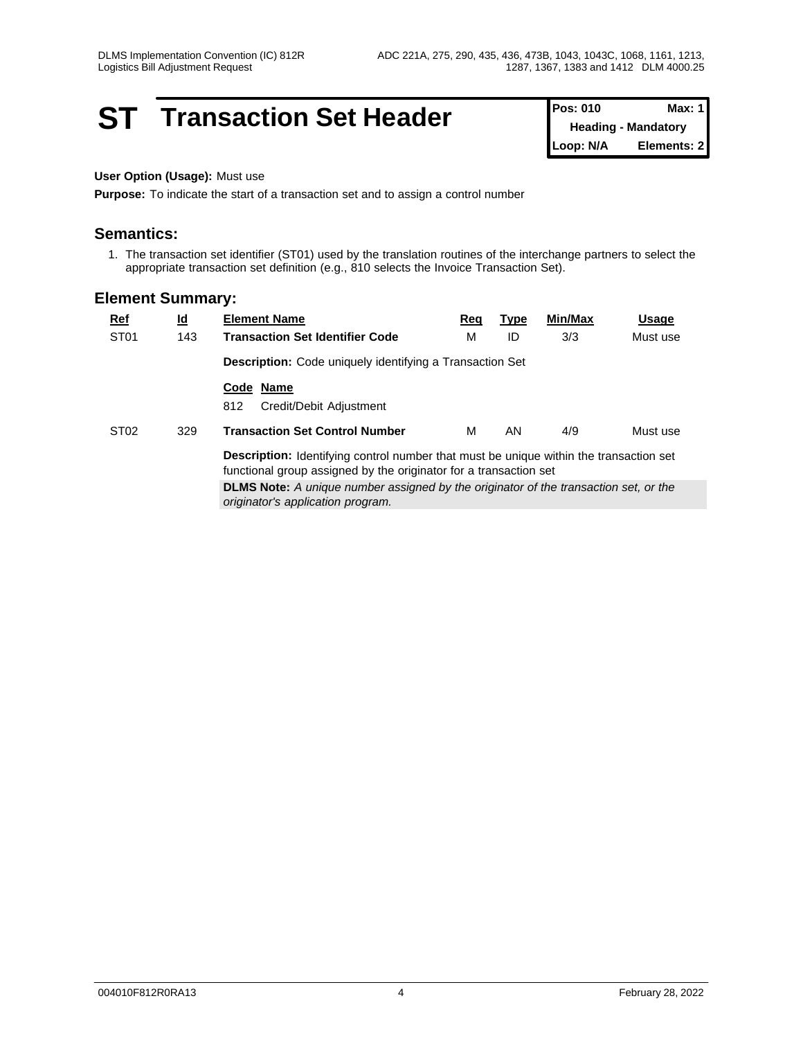## **ST Transaction Set Header Pos: 010 Max: 1 Pos: 010 Max: 1**

**Heading - Mandatory Loop: N/A Elements: 2**

#### **User Option (Usage):** Must use

**Purpose:** To indicate the start of a transaction set and to assign a control number

## **Semantics:**

1. The transaction set identifier (ST01) used by the translation routines of the interchange partners to select the appropriate transaction set definition (e.g., 810 selects the Invoice Transaction Set).

| $Ref$            | $\underline{\mathsf{Id}}$ | <b>Element Name</b>                                                                                                                                                | <u>Req</u> | <u>Type</u> | Min/Max | Usage    |
|------------------|---------------------------|--------------------------------------------------------------------------------------------------------------------------------------------------------------------|------------|-------------|---------|----------|
| ST <sub>01</sub> | 143                       | <b>Transaction Set Identifier Code</b>                                                                                                                             | М          | ID          | 3/3     | Must use |
|                  |                           | Description: Code uniquely identifying a Transaction Set                                                                                                           |            |             |         |          |
|                  |                           | Code Name<br>812<br>Credit/Debit Adjustment                                                                                                                        |            |             |         |          |
| ST <sub>02</sub> | 329                       | <b>Transaction Set Control Number</b>                                                                                                                              | м          | AN.         | 4/9     | Must use |
|                  |                           |                                                                                                                                                                    |            |             |         |          |
|                  |                           | <b>Description:</b> Identifying control number that must be unique within the transaction set<br>functional group assigned by the originator for a transaction set |            |             |         |          |
|                  |                           | <b>DLMS Note:</b> A unique number assigned by the originator of the transaction set, or the<br>originator's application program.                                   |            |             |         |          |
|                  |                           |                                                                                                                                                                    |            |             |         |          |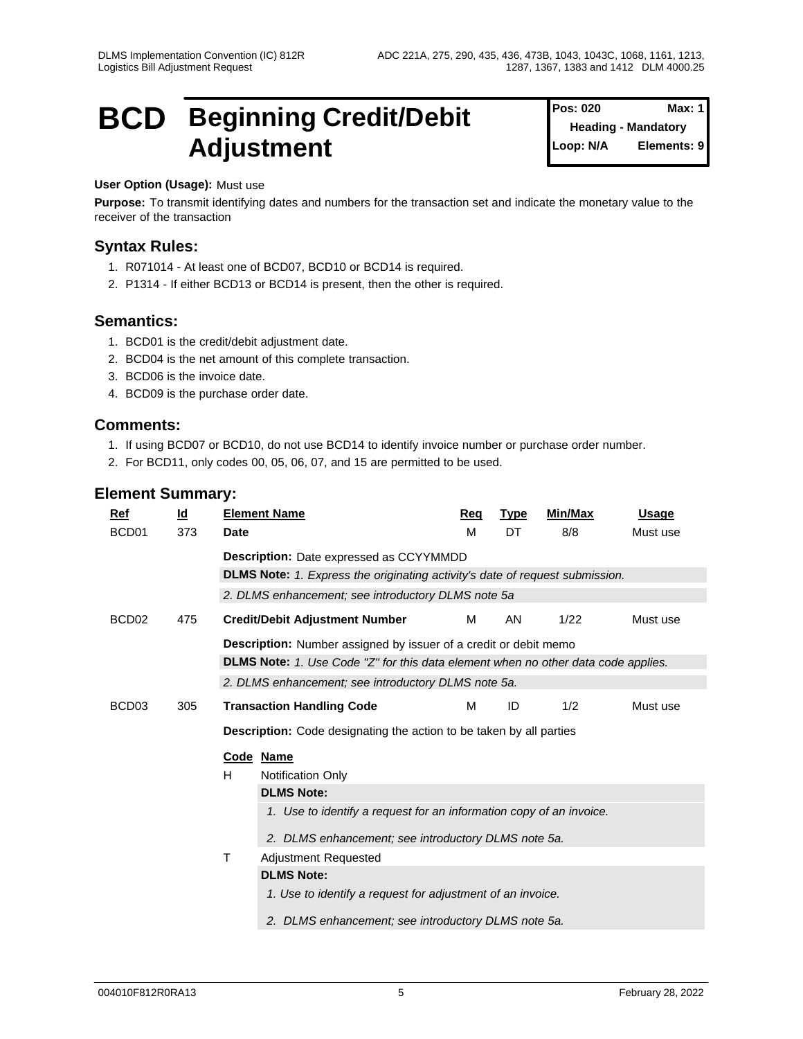**Pos: 020** 

**Heading - Mandatory**

**Elements: 9** 

## **BCD Beginning Credit/Debit** Pos: 020 Max: 1 Adjustment **Adjustment**

### **User Option (Usage):** Must use

**Purpose:** To transmit identifying dates and numbers for the transaction set and indicate the monetary value to the receiver of the transaction

## **Syntax Rules:**

- 1. R071014 At least one of BCD07, BCD10 or BCD14 is required.
- 2. P1314 If either BCD13 or BCD14 is present, then the other is required.

## **Semantics:**

- 1. BCD01 is the credit/debit adjustment date.
- 2. BCD04 is the net amount of this complete transaction.
- 3. BCD06 is the invoice date.
- 4. BCD09 is the purchase order date.

## **Comments:**

- 1. If using BCD07 or BCD10, do not use BCD14 to identify invoice number or purchase order number.
- 2. For BCD11, only codes 00, 05, 06, 07, and 15 are permitted to be used.

| Ref               | $\underline{\mathsf{Id}}$ |                                                                                 | <b>Element Name</b>                                                               | Req | <b>Type</b> | Min/Max | <b>Usage</b> |  |  |
|-------------------|---------------------------|---------------------------------------------------------------------------------|-----------------------------------------------------------------------------------|-----|-------------|---------|--------------|--|--|
| BCD <sub>01</sub> | 373                       | <b>Date</b>                                                                     |                                                                                   | M   | DT          | 8/8     | Must use     |  |  |
|                   |                           |                                                                                 | <b>Description:</b> Date expressed as CCYYMMDD                                    |     |             |         |              |  |  |
|                   |                           |                                                                                 | DLMS Note: 1. Express the originating activity's date of request submission.      |     |             |         |              |  |  |
|                   |                           |                                                                                 | 2. DLMS enhancement; see introductory DLMS note 5a                                |     |             |         |              |  |  |
| BCD <sub>02</sub> | 475                       |                                                                                 | <b>Credit/Debit Adjustment Number</b>                                             | М   | AN          | 1/22    | Must use     |  |  |
|                   |                           |                                                                                 | <b>Description:</b> Number assigned by issuer of a credit or debit memo           |     |             |         |              |  |  |
|                   |                           |                                                                                 | DLMS Note: 1. Use Code "Z" for this data element when no other data code applies. |     |             |         |              |  |  |
|                   |                           |                                                                                 | 2. DLMS enhancement; see introductory DLMS note 5a.                               |     |             |         |              |  |  |
| BCD <sub>03</sub> | 305                       |                                                                                 | <b>Transaction Handling Code</b>                                                  | М   | ID          | 1/2     | Must use     |  |  |
|                   |                           |                                                                                 | <b>Description:</b> Code designating the action to be taken by all parties        |     |             |         |              |  |  |
|                   |                           |                                                                                 | Code Name                                                                         |     |             |         |              |  |  |
|                   |                           | H                                                                               | <b>Notification Only</b>                                                          |     |             |         |              |  |  |
|                   |                           |                                                                                 | <b>DLMS Note:</b>                                                                 |     |             |         |              |  |  |
|                   |                           |                                                                                 | 1. Use to identify a request for an information copy of an invoice.               |     |             |         |              |  |  |
|                   |                           |                                                                                 | 2. DLMS enhancement; see introductory DLMS note 5a.                               |     |             |         |              |  |  |
|                   |                           | Τ<br>Adjustment Requested                                                       |                                                                                   |     |             |         |              |  |  |
|                   |                           | <b>DLMS Note:</b><br>1. Use to identify a request for adjustment of an invoice. |                                                                                   |     |             |         |              |  |  |
|                   |                           |                                                                                 |                                                                                   |     |             |         |              |  |  |
|                   |                           |                                                                                 |                                                                                   |     |             |         |              |  |  |
|                   |                           | 2. DLMS enhancement; see introductory DLMS note 5a.                             |                                                                                   |     |             |         |              |  |  |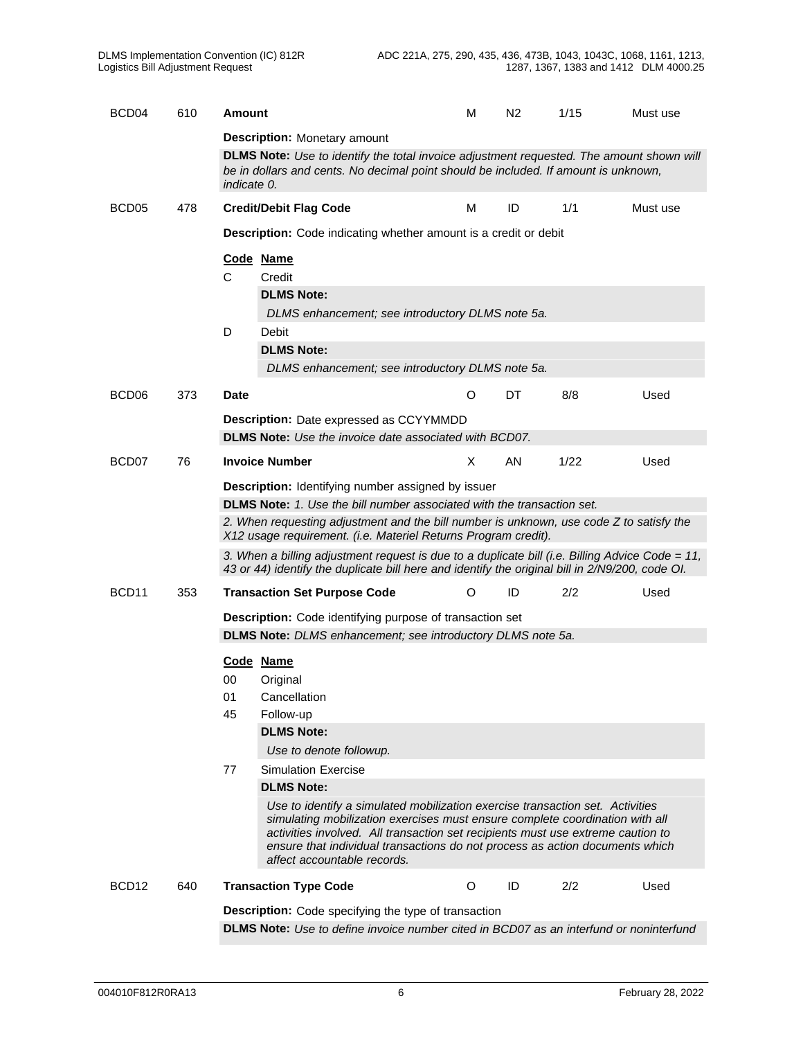| BCD <sub>04</sub> | 610 | Amount                                                                                                                                                                                         |                                                                                                                                                                                                                                                                                                                                                                 | M       | N <sub>2</sub> | 1/15 | Must use |  |  |  |  |  |
|-------------------|-----|------------------------------------------------------------------------------------------------------------------------------------------------------------------------------------------------|-----------------------------------------------------------------------------------------------------------------------------------------------------------------------------------------------------------------------------------------------------------------------------------------------------------------------------------------------------------------|---------|----------------|------|----------|--|--|--|--|--|
|                   |     |                                                                                                                                                                                                | <b>Description: Monetary amount</b>                                                                                                                                                                                                                                                                                                                             |         |                |      |          |  |  |  |  |  |
|                   |     | DLMS Note: Use to identify the total invoice adjustment requested. The amount shown will<br>be in dollars and cents. No decimal point should be included. If amount is unknown,<br>indicate 0. |                                                                                                                                                                                                                                                                                                                                                                 |         |                |      |          |  |  |  |  |  |
| BCD <sub>05</sub> | 478 |                                                                                                                                                                                                | <b>Credit/Debit Flag Code</b>                                                                                                                                                                                                                                                                                                                                   | M       | ID             | 1/1  | Must use |  |  |  |  |  |
|                   |     |                                                                                                                                                                                                | <b>Description:</b> Code indicating whether amount is a credit or debit                                                                                                                                                                                                                                                                                         |         |                |      |          |  |  |  |  |  |
|                   |     | Code Name<br>C                                                                                                                                                                                 | Credit<br><b>DLMS Note:</b><br>DLMS enhancement; see introductory DLMS note 5a.                                                                                                                                                                                                                                                                                 |         |                |      |          |  |  |  |  |  |
|                   |     | D                                                                                                                                                                                              | Debit<br><b>DLMS Note:</b><br>DLMS enhancement; see introductory DLMS note 5a.                                                                                                                                                                                                                                                                                  |         |                |      |          |  |  |  |  |  |
| BCD <sub>06</sub> | 373 | <b>Date</b>                                                                                                                                                                                    |                                                                                                                                                                                                                                                                                                                                                                 | O       | DT             | 8/8  | Used     |  |  |  |  |  |
|                   |     |                                                                                                                                                                                                | <b>Description:</b> Date expressed as CCYYMMDD<br><b>DLMS Note:</b> Use the invoice date associated with BCD07.                                                                                                                                                                                                                                                 |         |                |      |          |  |  |  |  |  |
| BCD07             | 76  |                                                                                                                                                                                                | <b>Invoice Number</b>                                                                                                                                                                                                                                                                                                                                           | X.      | AN             | 1/22 | Used     |  |  |  |  |  |
|                   |     |                                                                                                                                                                                                | <b>Description:</b> Identifying number assigned by issuer                                                                                                                                                                                                                                                                                                       |         |                |      |          |  |  |  |  |  |
|                   |     |                                                                                                                                                                                                | DLMS Note: 1. Use the bill number associated with the transaction set.<br>2. When requesting adjustment and the bill number is unknown, use code Z to satisfy the                                                                                                                                                                                               |         |                |      |          |  |  |  |  |  |
|                   |     |                                                                                                                                                                                                | X12 usage requirement. (i.e. Materiel Returns Program credit).                                                                                                                                                                                                                                                                                                  |         |                |      |          |  |  |  |  |  |
|                   |     |                                                                                                                                                                                                | 3. When a billing adjustment request is due to a duplicate bill (i.e. Billing Advice Code = 11,<br>43 or 44) identify the duplicate bill here and identify the original bill in 2/N9/200, code OI.                                                                                                                                                              |         |                |      |          |  |  |  |  |  |
| BCD <sub>11</sub> | 353 |                                                                                                                                                                                                | <b>Transaction Set Purpose Code</b>                                                                                                                                                                                                                                                                                                                             | O       | ID             | 2/2  | Used     |  |  |  |  |  |
|                   |     | Description: Code identifying purpose of transaction set<br><b>DLMS Note:</b> DLMS enhancement; see introductory DLMS note 5a.                                                                 |                                                                                                                                                                                                                                                                                                                                                                 |         |                |      |          |  |  |  |  |  |
|                   |     |                                                                                                                                                                                                |                                                                                                                                                                                                                                                                                                                                                                 |         |                |      |          |  |  |  |  |  |
|                   |     | Code Name<br>00                                                                                                                                                                                | Original                                                                                                                                                                                                                                                                                                                                                        |         |                |      |          |  |  |  |  |  |
|                   |     | 01                                                                                                                                                                                             | Cancellation                                                                                                                                                                                                                                                                                                                                                    |         |                |      |          |  |  |  |  |  |
|                   |     | 45                                                                                                                                                                                             | Follow-up                                                                                                                                                                                                                                                                                                                                                       |         |                |      |          |  |  |  |  |  |
|                   |     |                                                                                                                                                                                                | <b>DLMS Note:</b>                                                                                                                                                                                                                                                                                                                                               |         |                |      |          |  |  |  |  |  |
|                   |     |                                                                                                                                                                                                | Use to denote followup.                                                                                                                                                                                                                                                                                                                                         |         |                |      |          |  |  |  |  |  |
|                   |     | 77                                                                                                                                                                                             | <b>Simulation Exercise</b>                                                                                                                                                                                                                                                                                                                                      |         |                |      |          |  |  |  |  |  |
|                   |     |                                                                                                                                                                                                | <b>DLMS Note:</b>                                                                                                                                                                                                                                                                                                                                               |         |                |      |          |  |  |  |  |  |
|                   |     |                                                                                                                                                                                                | Use to identify a simulated mobilization exercise transaction set. Activities<br>simulating mobilization exercises must ensure complete coordination with all<br>activities involved. All transaction set recipients must use extreme caution to<br>ensure that individual transactions do not process as action documents which<br>affect accountable records. |         |                |      |          |  |  |  |  |  |
| BCD <sub>12</sub> | 640 |                                                                                                                                                                                                | <b>Transaction Type Code</b>                                                                                                                                                                                                                                                                                                                                    | $\circ$ | ID             | 2/2  | Used     |  |  |  |  |  |
|                   |     |                                                                                                                                                                                                | <b>Description:</b> Code specifying the type of transaction                                                                                                                                                                                                                                                                                                     |         |                |      |          |  |  |  |  |  |
|                   |     |                                                                                                                                                                                                | <b>DLMS Note:</b> Use to define invoice number cited in BCD07 as an interfund or noninterfund                                                                                                                                                                                                                                                                   |         |                |      |          |  |  |  |  |  |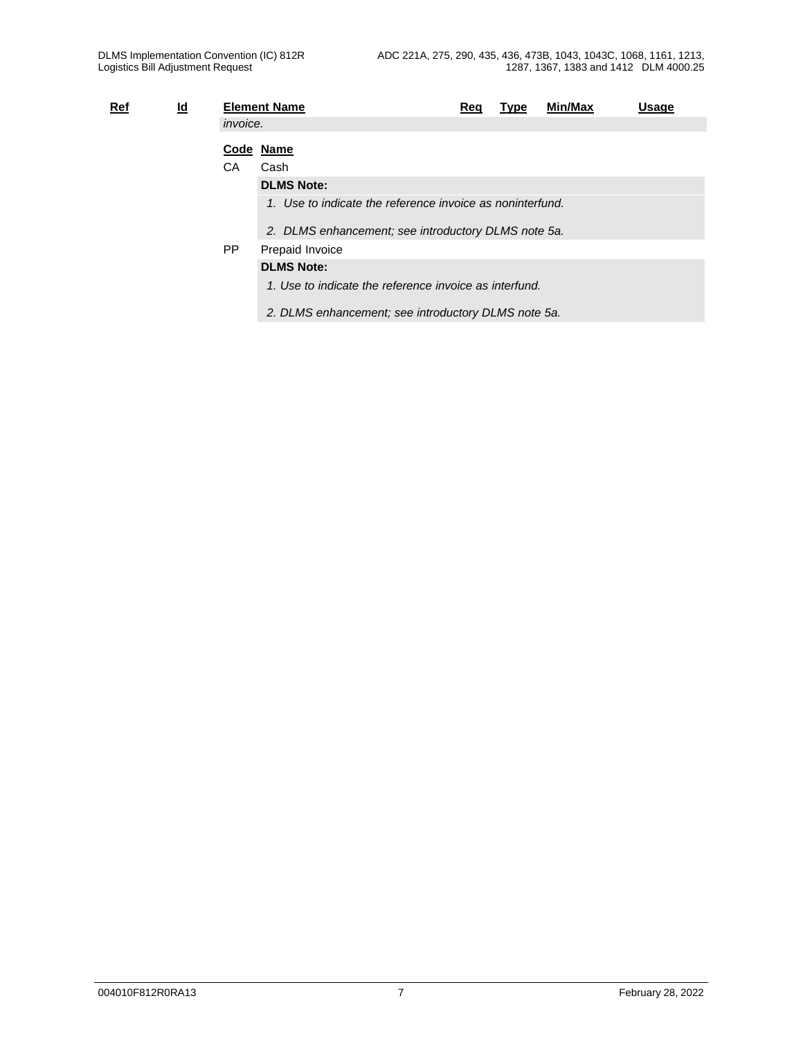| <u>Ref</u> | <u>ld</u> |                 | <b>Element Name</b>                                       | Req | Type | Min/Max | Usage |
|------------|-----------|-----------------|-----------------------------------------------------------|-----|------|---------|-------|
|            |           | <i>invoice.</i> |                                                           |     |      |         |       |
|            |           |                 | Code Name                                                 |     |      |         |       |
|            |           | СA              | Cash                                                      |     |      |         |       |
|            |           |                 | <b>DLMS Note:</b>                                         |     |      |         |       |
|            |           |                 | 1. Use to indicate the reference invoice as noninterfund. |     |      |         |       |
|            |           |                 | 2. DLMS enhancement; see introductory DLMS note 5a.       |     |      |         |       |
|            |           | PP.             | Prepaid Invoice                                           |     |      |         |       |
|            |           |                 | <b>DLMS Note:</b>                                         |     |      |         |       |
|            |           |                 | 1. Use to indicate the reference invoice as interfund.    |     |      |         |       |
|            |           |                 | 2. DLMS enhancement; see introductory DLMS note 5a.       |     |      |         |       |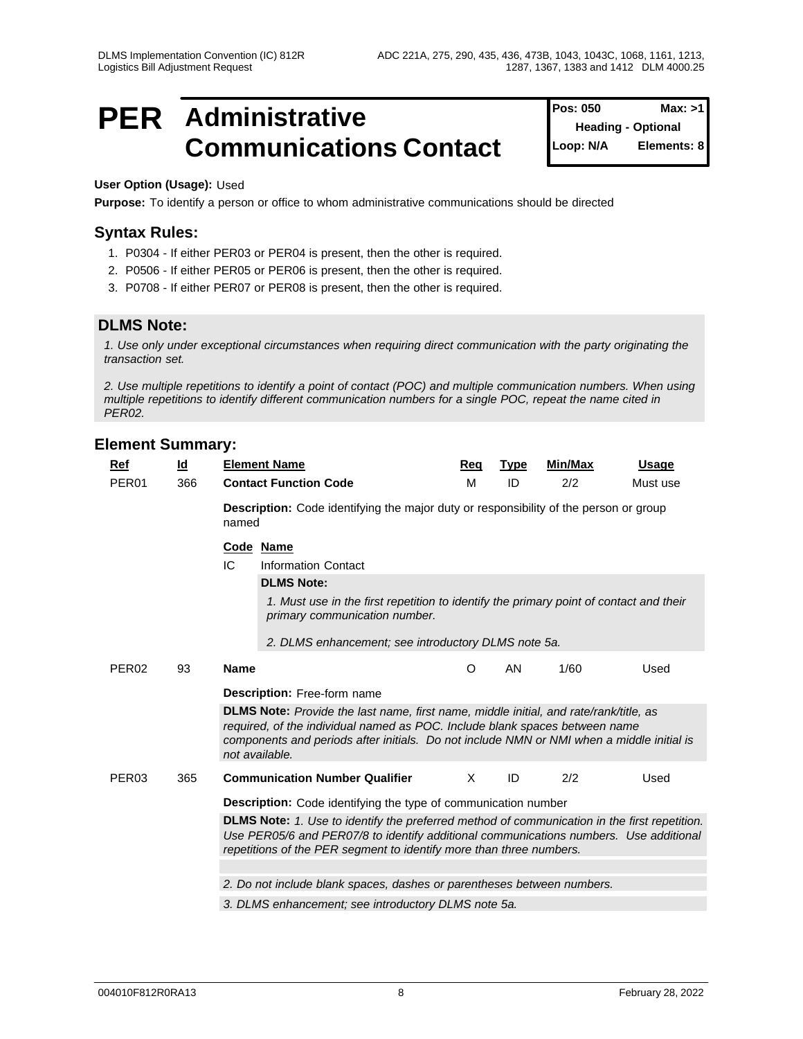## **PER** Administrative **PER** Administrative **Position Position Max:** >1 **Communications Contact**  $\begin{bmatrix} \text{Loop: } N/A \end{bmatrix}$

**Pos: 050 Heading - Optional Elements: 8** 

**User Option (Usage):** Used

**Purpose:** To identify a person or office to whom administrative communications should be directed

## **Syntax Rules:**

- 1. P0304 If either PER03 or PER04 is present, then the other is required.
- 2. P0506 If either PER05 or PER06 is present, then the other is required.
- 3. P0708 If either PER07 or PER08 is present, then the other is required.

## **DLMS Note:**

*1. Use only under exceptional circumstances when requiring direct communication with the party originating the transaction set.*

*2. Use multiple repetitions to identify a point of contact (POC) and multiple communication numbers. When using multiple repetitions to identify different communication numbers for a single POC, repeat the name cited in PER02.*

| Ref               | $\underline{\mathsf{Id}}$ | <b>Element Name</b>                                                                                                                                                                                                                                                                        | Req                                                                                          | <b>Type</b> | Min/Max | <b>Usage</b> |  |  |  |  |  |  |  |
|-------------------|---------------------------|--------------------------------------------------------------------------------------------------------------------------------------------------------------------------------------------------------------------------------------------------------------------------------------------|----------------------------------------------------------------------------------------------|-------------|---------|--------------|--|--|--|--|--|--|--|
| PER <sub>01</sub> | 366                       | <b>Contact Function Code</b>                                                                                                                                                                                                                                                               | M                                                                                            | ID          | 2/2     | Must use     |  |  |  |  |  |  |  |
|                   |                           | named                                                                                                                                                                                                                                                                                      | <b>Description:</b> Code identifying the major duty or responsibility of the person or group |             |         |              |  |  |  |  |  |  |  |
|                   |                           | Code Name                                                                                                                                                                                                                                                                                  |                                                                                              |             |         |              |  |  |  |  |  |  |  |
|                   |                           | IC<br><b>Information Contact</b>                                                                                                                                                                                                                                                           |                                                                                              |             |         |              |  |  |  |  |  |  |  |
|                   |                           | <b>DLMS Note:</b>                                                                                                                                                                                                                                                                          |                                                                                              |             |         |              |  |  |  |  |  |  |  |
|                   |                           | 1. Must use in the first repetition to identify the primary point of contact and their<br>primary communication number.                                                                                                                                                                    |                                                                                              |             |         |              |  |  |  |  |  |  |  |
|                   |                           | 2. DLMS enhancement; see introductory DLMS note 5a.                                                                                                                                                                                                                                        |                                                                                              |             |         |              |  |  |  |  |  |  |  |
| PER <sub>02</sub> | 93                        | <b>Name</b>                                                                                                                                                                                                                                                                                | O                                                                                            | AN          | 1/60    | Used         |  |  |  |  |  |  |  |
|                   |                           | <b>Description:</b> Free-form name                                                                                                                                                                                                                                                         |                                                                                              |             |         |              |  |  |  |  |  |  |  |
|                   |                           | <b>DLMS Note:</b> Provide the last name, first name, middle initial, and rate/rank/title, as<br>required, of the individual named as POC. Include blank spaces between name<br>components and periods after initials. Do not include NMN or NMI when a middle initial is<br>not available. |                                                                                              |             |         |              |  |  |  |  |  |  |  |
| PER <sub>03</sub> | 365                       | <b>Communication Number Qualifier</b>                                                                                                                                                                                                                                                      | $\times$                                                                                     | ID          | 2/2     | Used         |  |  |  |  |  |  |  |
|                   |                           | <b>Description:</b> Code identifying the type of communication number                                                                                                                                                                                                                      |                                                                                              |             |         |              |  |  |  |  |  |  |  |
|                   |                           | DLMS Note: 1. Use to identify the preferred method of communication in the first repetition.<br>Use PER05/6 and PER07/8 to identify additional communications numbers. Use additional<br>repetitions of the PER segment to identify more than three numbers.                               |                                                                                              |             |         |              |  |  |  |  |  |  |  |
|                   |                           |                                                                                                                                                                                                                                                                                            |                                                                                              |             |         |              |  |  |  |  |  |  |  |
|                   |                           | 2. Do not include blank spaces, dashes or parentheses between numbers.                                                                                                                                                                                                                     |                                                                                              |             |         |              |  |  |  |  |  |  |  |
|                   |                           | 3. DLMS enhancement; see introductory DLMS note 5a.                                                                                                                                                                                                                                        |                                                                                              |             |         |              |  |  |  |  |  |  |  |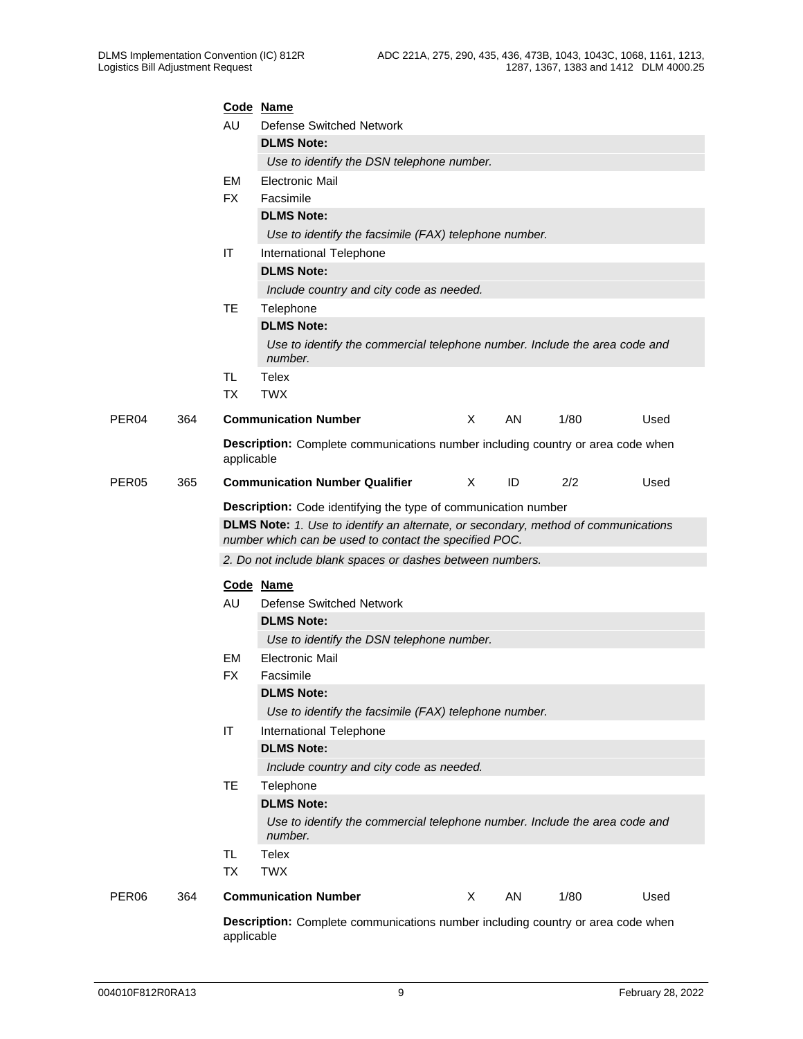|                   |     |            | Code Name                                                                                                                                    |          |    |      |      |
|-------------------|-----|------------|----------------------------------------------------------------------------------------------------------------------------------------------|----------|----|------|------|
|                   |     | AU         | Defense Switched Network                                                                                                                     |          |    |      |      |
|                   |     |            | <b>DLMS Note:</b>                                                                                                                            |          |    |      |      |
|                   |     |            | Use to identify the DSN telephone number.                                                                                                    |          |    |      |      |
|                   |     | <b>EM</b>  | <b>Electronic Mail</b>                                                                                                                       |          |    |      |      |
|                   |     | <b>FX</b>  | Facsimile                                                                                                                                    |          |    |      |      |
|                   |     |            | <b>DLMS Note:</b>                                                                                                                            |          |    |      |      |
|                   |     |            | Use to identify the facsimile (FAX) telephone number.                                                                                        |          |    |      |      |
|                   |     | IT         | International Telephone                                                                                                                      |          |    |      |      |
|                   |     |            | <b>DLMS Note:</b>                                                                                                                            |          |    |      |      |
|                   |     |            | Include country and city code as needed.                                                                                                     |          |    |      |      |
|                   |     | <b>TE</b>  | Telephone                                                                                                                                    |          |    |      |      |
|                   |     |            | <b>DLMS Note:</b>                                                                                                                            |          |    |      |      |
|                   |     |            | Use to identify the commercial telephone number. Include the area code and<br>number.                                                        |          |    |      |      |
|                   |     | TL.        | Telex                                                                                                                                        |          |    |      |      |
|                   |     | <b>TX</b>  | <b>TWX</b>                                                                                                                                   |          |    |      |      |
| PER <sub>04</sub> | 364 |            | <b>Communication Number</b>                                                                                                                  | X        | AN | 1/80 | Used |
|                   |     | applicable | Description: Complete communications number including country or area code when                                                              |          |    |      |      |
| PER <sub>05</sub> | 365 |            | <b>Communication Number Qualifier</b>                                                                                                        | $\times$ | ID | 2/2  | Used |
|                   |     |            | Description: Code identifying the type of communication number                                                                               |          |    |      |      |
|                   |     |            | DLMS Note: 1. Use to identify an alternate, or secondary, method of communications<br>number which can be used to contact the specified POC. |          |    |      |      |
|                   |     |            | 2. Do not include blank spaces or dashes between numbers.                                                                                    |          |    |      |      |
|                   |     |            |                                                                                                                                              |          |    |      |      |
|                   |     |            | Code Name                                                                                                                                    |          |    |      |      |
|                   |     | AU         | <b>Defense Switched Network</b>                                                                                                              |          |    |      |      |
|                   |     |            | <b>DLMS Note:</b>                                                                                                                            |          |    |      |      |
|                   |     |            | Use to identify the DSN telephone number.                                                                                                    |          |    |      |      |
|                   |     | EM<br>FX   | <b>Electronic Mail</b><br>Facsimile                                                                                                          |          |    |      |      |
|                   |     |            | <b>DLMS Note:</b>                                                                                                                            |          |    |      |      |
|                   |     |            | Use to identify the facsimile (FAX) telephone number.                                                                                        |          |    |      |      |
|                   |     | IT         | International Telephone                                                                                                                      |          |    |      |      |
|                   |     |            | <b>DLMS Note:</b>                                                                                                                            |          |    |      |      |
|                   |     |            | Include country and city code as needed.                                                                                                     |          |    |      |      |
|                   |     | <b>TE</b>  | Telephone                                                                                                                                    |          |    |      |      |
|                   |     |            | <b>DLMS Note:</b>                                                                                                                            |          |    |      |      |
|                   |     |            | Use to identify the commercial telephone number. Include the area code and                                                                   |          |    |      |      |
|                   |     |            | number.                                                                                                                                      |          |    |      |      |
|                   |     | TL.        | Telex                                                                                                                                        |          |    |      |      |
|                   |     | <b>TX</b>  | <b>TWX</b>                                                                                                                                   |          |    |      |      |
| PER06             | 364 |            | <b>Communication Number</b>                                                                                                                  | X        | AN | 1/80 | Used |
|                   |     | applicable | Description: Complete communications number including country or area code when                                                              |          |    |      |      |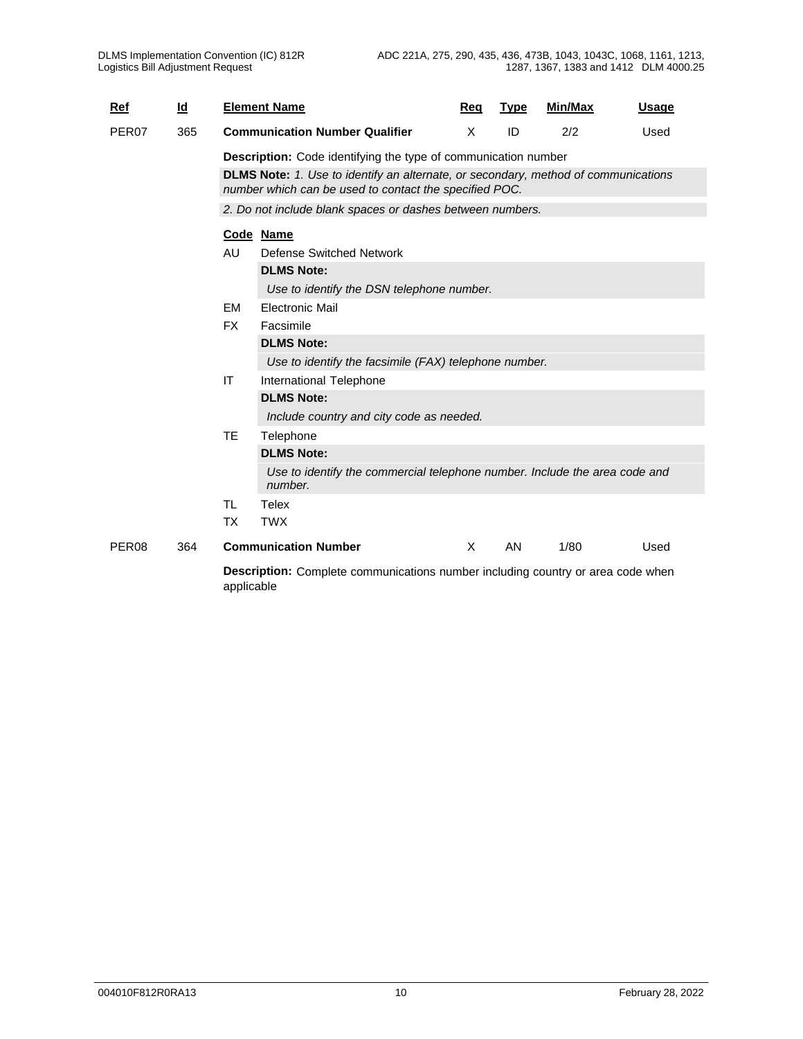| Ref               | $\underline{\mathsf{Id}}$ |           | <b>Element Name</b>                                                                                                                          | Req      | <b>Type</b> | Min/Max | <b>Usage</b> |
|-------------------|---------------------------|-----------|----------------------------------------------------------------------------------------------------------------------------------------------|----------|-------------|---------|--------------|
| PER <sub>07</sub> | 365                       |           | <b>Communication Number Qualifier</b>                                                                                                        | X        | ID          | 2/2     | Used         |
|                   |                           |           | <b>Description:</b> Code identifying the type of communication number                                                                        |          |             |         |              |
|                   |                           |           | DLMS Note: 1. Use to identify an alternate, or secondary, method of communications<br>number which can be used to contact the specified POC. |          |             |         |              |
|                   |                           |           | 2. Do not include blank spaces or dashes between numbers.                                                                                    |          |             |         |              |
|                   |                           |           | Code Name                                                                                                                                    |          |             |         |              |
|                   |                           | AU        | Defense Switched Network                                                                                                                     |          |             |         |              |
|                   |                           |           | <b>DLMS Note:</b>                                                                                                                            |          |             |         |              |
|                   |                           |           | Use to identify the DSN telephone number.                                                                                                    |          |             |         |              |
|                   |                           | <b>EM</b> | <b>Electronic Mail</b>                                                                                                                       |          |             |         |              |
|                   |                           | <b>FX</b> | Facsimile                                                                                                                                    |          |             |         |              |
|                   |                           |           | <b>DLMS Note:</b>                                                                                                                            |          |             |         |              |
|                   |                           |           | Use to identify the facsimile (FAX) telephone number.                                                                                        |          |             |         |              |
|                   |                           | IT        | International Telephone                                                                                                                      |          |             |         |              |
|                   |                           |           | <b>DLMS Note:</b>                                                                                                                            |          |             |         |              |
|                   |                           |           | Include country and city code as needed.                                                                                                     |          |             |         |              |
|                   |                           | <b>TE</b> | Telephone                                                                                                                                    |          |             |         |              |
|                   |                           |           | <b>DLMS Note:</b>                                                                                                                            |          |             |         |              |
|                   |                           |           | Use to identify the commercial telephone number. Include the area code and<br>number.                                                        |          |             |         |              |
|                   |                           | <b>TL</b> | Telex                                                                                                                                        |          |             |         |              |
|                   |                           | <b>TX</b> | <b>TWX</b>                                                                                                                                   |          |             |         |              |
| PER <sub>08</sub> | 364                       |           | <b>Communication Number</b>                                                                                                                  | $\times$ | AN          | 1/80    | Used         |
|                   |                           |           | Description: Complete communications number including country or area code when                                                              |          |             |         |              |

applicable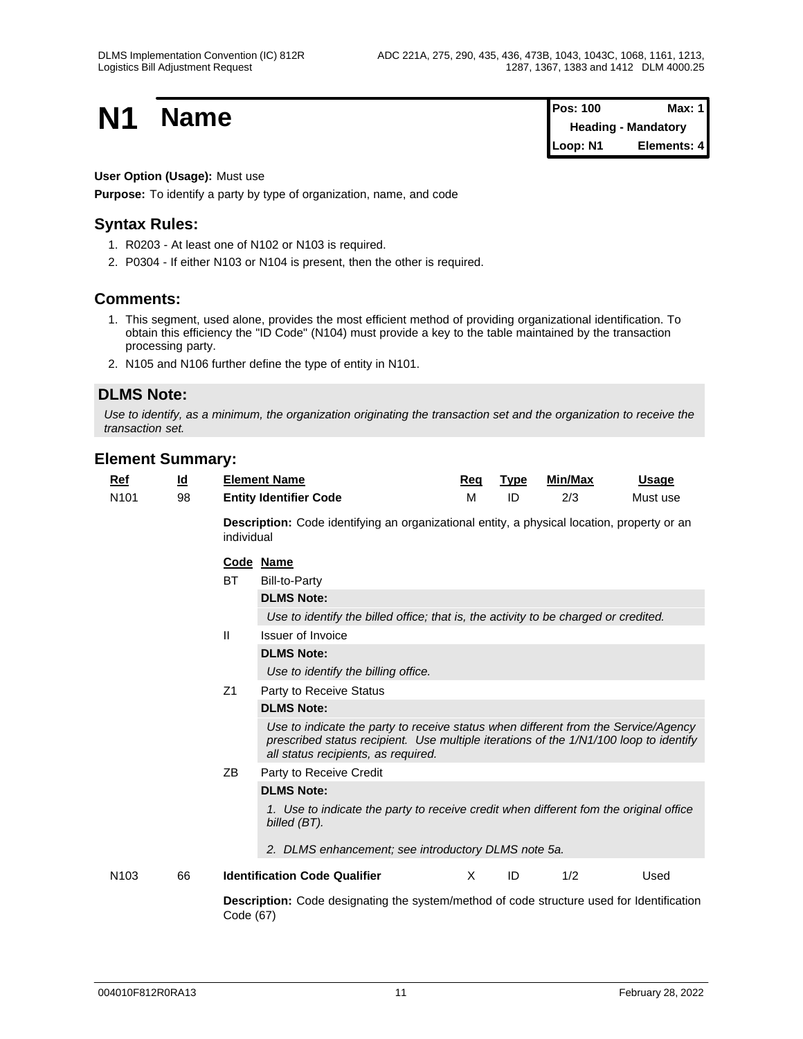**N1 Name Pos: 100 Max: 1**<br>**Pos: 100 Max: 1 Heading - Mandatory Loop: N1 Elements: 4**

## **User Option (Usage):** Must use

**Purpose:** To identify a party by type of organization, name, and code

## **Syntax Rules:**

- 1. R0203 At least one of N102 or N103 is required.
- 2. P0304 If either N103 or N104 is present, then the other is required.

## **Comments:**

- 1. This segment, used alone, provides the most efficient method of providing organizational identification. To obtain this efficiency the "ID Code" (N104) must provide a key to the table maintained by the transaction processing party.
- 2. N105 and N106 further define the type of entity in N101.

## **DLMS Note:**

*Use to identify, as a minimum, the organization originating the transaction set and the organization to receive the transaction set.*

| <b>Ref</b>       | <u>ld</u> |                                                                                                               | <b>Element Name</b>                                                                                                                                                                                                | Req      | <b>Type</b> | Min/Max | Usage    |  |  |  |  |  |  |
|------------------|-----------|---------------------------------------------------------------------------------------------------------------|--------------------------------------------------------------------------------------------------------------------------------------------------------------------------------------------------------------------|----------|-------------|---------|----------|--|--|--|--|--|--|
| N <sub>101</sub> | 98        |                                                                                                               | <b>Entity Identifier Code</b>                                                                                                                                                                                      | M        | ID          | 2/3     | Must use |  |  |  |  |  |  |
|                  |           | individual                                                                                                    | <b>Description:</b> Code identifying an organizational entity, a physical location, property or an                                                                                                                 |          |             |         |          |  |  |  |  |  |  |
|                  |           |                                                                                                               | Code Name                                                                                                                                                                                                          |          |             |         |          |  |  |  |  |  |  |
|                  |           | <b>BT</b>                                                                                                     | Bill-to-Party                                                                                                                                                                                                      |          |             |         |          |  |  |  |  |  |  |
|                  |           |                                                                                                               | <b>DLMS Note:</b>                                                                                                                                                                                                  |          |             |         |          |  |  |  |  |  |  |
|                  |           |                                                                                                               | Use to identify the billed office; that is, the activity to be charged or credited.                                                                                                                                |          |             |         |          |  |  |  |  |  |  |
|                  |           | $\mathbf{H}$                                                                                                  | <b>Issuer of Invoice</b>                                                                                                                                                                                           |          |             |         |          |  |  |  |  |  |  |
|                  |           |                                                                                                               | <b>DLMS Note:</b>                                                                                                                                                                                                  |          |             |         |          |  |  |  |  |  |  |
|                  |           |                                                                                                               | Use to identify the billing office.                                                                                                                                                                                |          |             |         |          |  |  |  |  |  |  |
|                  |           | Z1                                                                                                            | Party to Receive Status                                                                                                                                                                                            |          |             |         |          |  |  |  |  |  |  |
|                  |           |                                                                                                               | <b>DLMS Note:</b>                                                                                                                                                                                                  |          |             |         |          |  |  |  |  |  |  |
|                  |           |                                                                                                               | Use to indicate the party to receive status when different from the Service/Agency<br>prescribed status recipient. Use multiple iterations of the 1/N1/100 loop to identify<br>all status recipients, as required. |          |             |         |          |  |  |  |  |  |  |
|                  |           | ΖB                                                                                                            | Party to Receive Credit                                                                                                                                                                                            |          |             |         |          |  |  |  |  |  |  |
|                  |           |                                                                                                               | <b>DLMS Note:</b>                                                                                                                                                                                                  |          |             |         |          |  |  |  |  |  |  |
|                  |           |                                                                                                               | 1. Use to indicate the party to receive credit when different fom the original office<br>billed (BT).                                                                                                              |          |             |         |          |  |  |  |  |  |  |
|                  |           |                                                                                                               | 2. DLMS enhancement; see introductory DLMS note 5a.                                                                                                                                                                |          |             |         |          |  |  |  |  |  |  |
| N <sub>103</sub> | 66        |                                                                                                               | <b>Identification Code Qualifier</b>                                                                                                                                                                               | $\times$ | ID          | 1/2     | Used     |  |  |  |  |  |  |
|                  |           | <b>Description:</b> Code designating the system/method of code structure used for Identification<br>Code (67) |                                                                                                                                                                                                                    |          |             |         |          |  |  |  |  |  |  |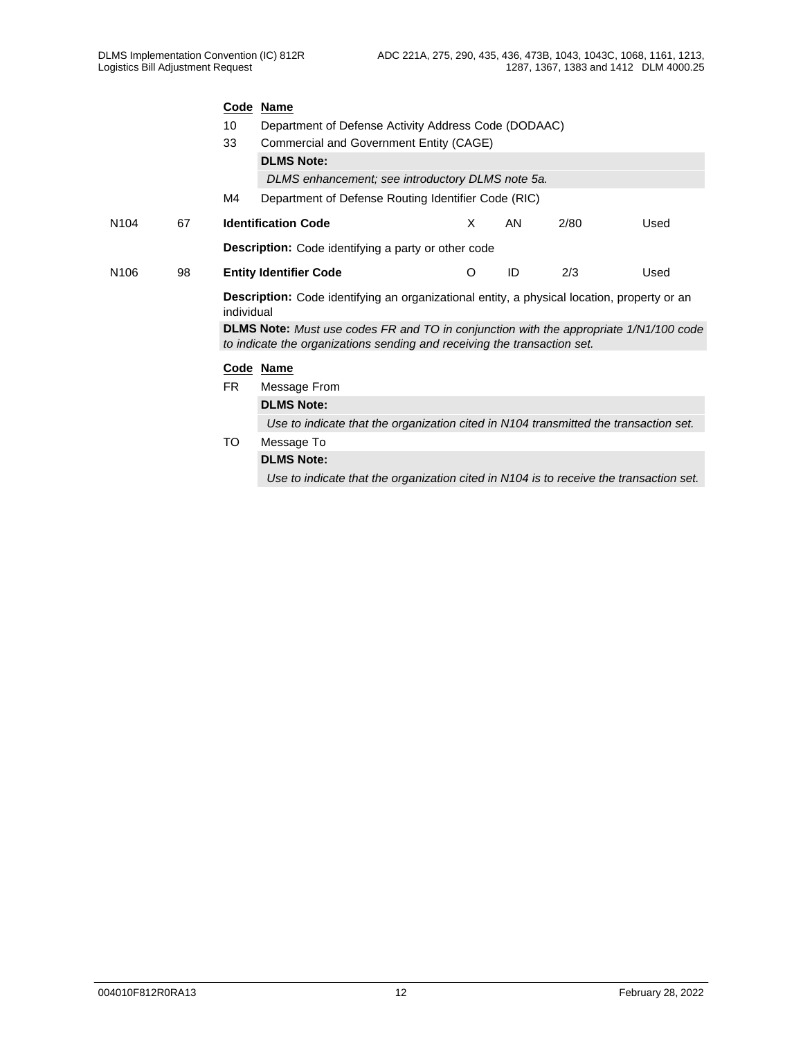|                  |    |                                                                                                                  | Code Name                                                                                                                                                                |   |    |      |      |  |  |  |  |  |  |
|------------------|----|------------------------------------------------------------------------------------------------------------------|--------------------------------------------------------------------------------------------------------------------------------------------------------------------------|---|----|------|------|--|--|--|--|--|--|
|                  |    | Department of Defense Activity Address Code (DODAAC)<br>10                                                       |                                                                                                                                                                          |   |    |      |      |  |  |  |  |  |  |
|                  |    | 33                                                                                                               | Commercial and Government Entity (CAGE)                                                                                                                                  |   |    |      |      |  |  |  |  |  |  |
|                  |    |                                                                                                                  | <b>DLMS Note:</b>                                                                                                                                                        |   |    |      |      |  |  |  |  |  |  |
|                  |    |                                                                                                                  | DLMS enhancement; see introductory DLMS note 5a.                                                                                                                         |   |    |      |      |  |  |  |  |  |  |
|                  |    | M4                                                                                                               | Department of Defense Routing Identifier Code (RIC)                                                                                                                      |   |    |      |      |  |  |  |  |  |  |
| N <sub>104</sub> | 67 |                                                                                                                  | <b>Identification Code</b>                                                                                                                                               | X | AN | 2/80 | Used |  |  |  |  |  |  |
|                  |    |                                                                                                                  | <b>Description:</b> Code identifying a party or other code                                                                                                               |   |    |      |      |  |  |  |  |  |  |
| N <sub>106</sub> | 98 |                                                                                                                  | <b>Entity Identifier Code</b>                                                                                                                                            | O | ID | 2/3  | Used |  |  |  |  |  |  |
|                  |    | <b>Description:</b> Code identifying an organizational entity, a physical location, property or an<br>individual |                                                                                                                                                                          |   |    |      |      |  |  |  |  |  |  |
|                  |    |                                                                                                                  | <b>DLMS Note:</b> Must use codes FR and TO in conjunction with the appropriate 1/N1/100 code<br>to indicate the organizations sending and receiving the transaction set. |   |    |      |      |  |  |  |  |  |  |
|                  |    |                                                                                                                  | Code Name                                                                                                                                                                |   |    |      |      |  |  |  |  |  |  |
|                  |    | <b>FR</b>                                                                                                        | Message From                                                                                                                                                             |   |    |      |      |  |  |  |  |  |  |
|                  |    |                                                                                                                  | <b>DLMS Note:</b>                                                                                                                                                        |   |    |      |      |  |  |  |  |  |  |
|                  |    |                                                                                                                  | Use to indicate that the organization cited in N104 transmitted the transaction set.                                                                                     |   |    |      |      |  |  |  |  |  |  |
|                  |    | TO                                                                                                               | Message To                                                                                                                                                               |   |    |      |      |  |  |  |  |  |  |
|                  |    |                                                                                                                  | <b>DLMS Note:</b>                                                                                                                                                        |   |    |      |      |  |  |  |  |  |  |
|                  |    |                                                                                                                  | Use to indicate that the organization cited in N104 is to receive the transaction set.                                                                                   |   |    |      |      |  |  |  |  |  |  |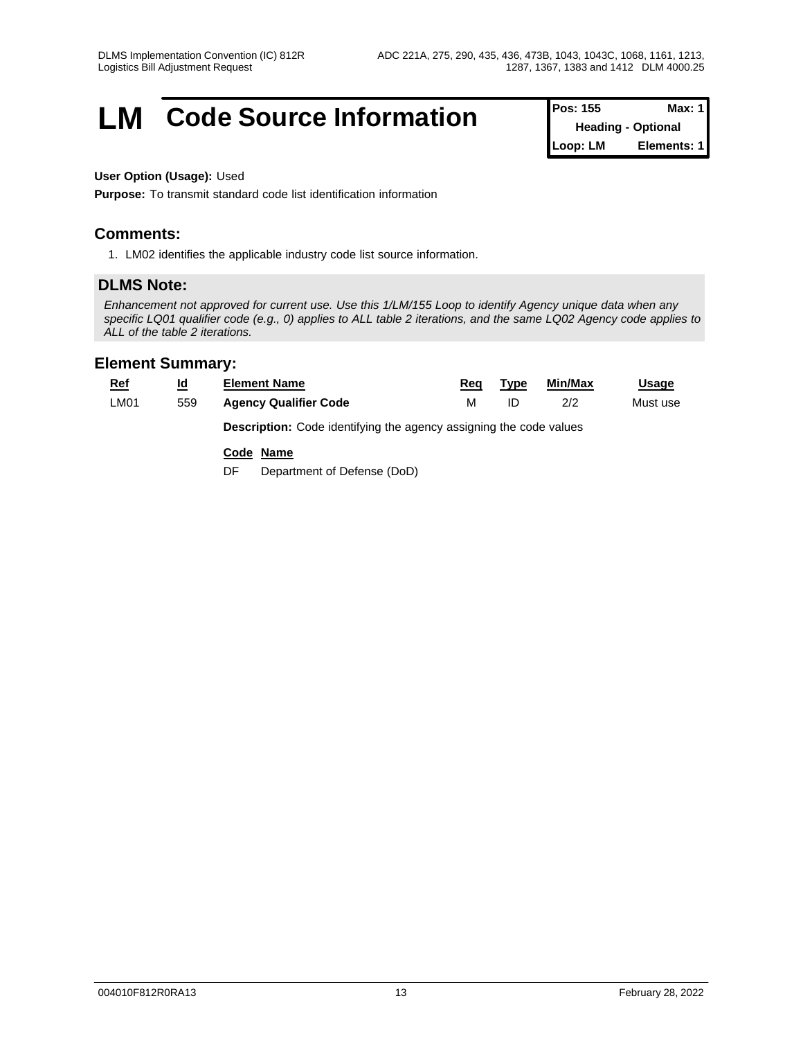## **LM** Code Source Information **Pos:** 155 Max: 1

**Heading - Optional Loop: LM Elements: 1**

## **User Option (Usage):** Used

**Purpose:** To transmit standard code list identification information

## **Comments:**

1. LM02 identifies the applicable industry code list source information.

## **DLMS Note:**

*Enhancement not approved for current use. Use this 1/LM/155 Loop to identify Agency unique data when any specific LQ01 qualifier code (e.g., 0) applies to ALL table 2 iterations, and the same LQ02 Agency code applies to ALL of the table 2 iterations.*

| <b>Ref</b>  | $\underline{\mathsf{Id}}$ | <b>Element Name</b>                                                       | Rea | Type | Min/Max | <b>Usage</b> |  |  |  |  |  |
|-------------|---------------------------|---------------------------------------------------------------------------|-----|------|---------|--------------|--|--|--|--|--|
| <b>LM01</b> | 559                       | <b>Agency Qualifier Code</b>                                              | м   | ID   | 2/2     | Must use     |  |  |  |  |  |
|             |                           | <b>Description:</b> Code identifying the agency assigning the code values |     |      |         |              |  |  |  |  |  |
|             |                           | Code Name                                                                 |     |      |         |              |  |  |  |  |  |
|             |                           | Department of Defense (DoD)<br>DF                                         |     |      |         |              |  |  |  |  |  |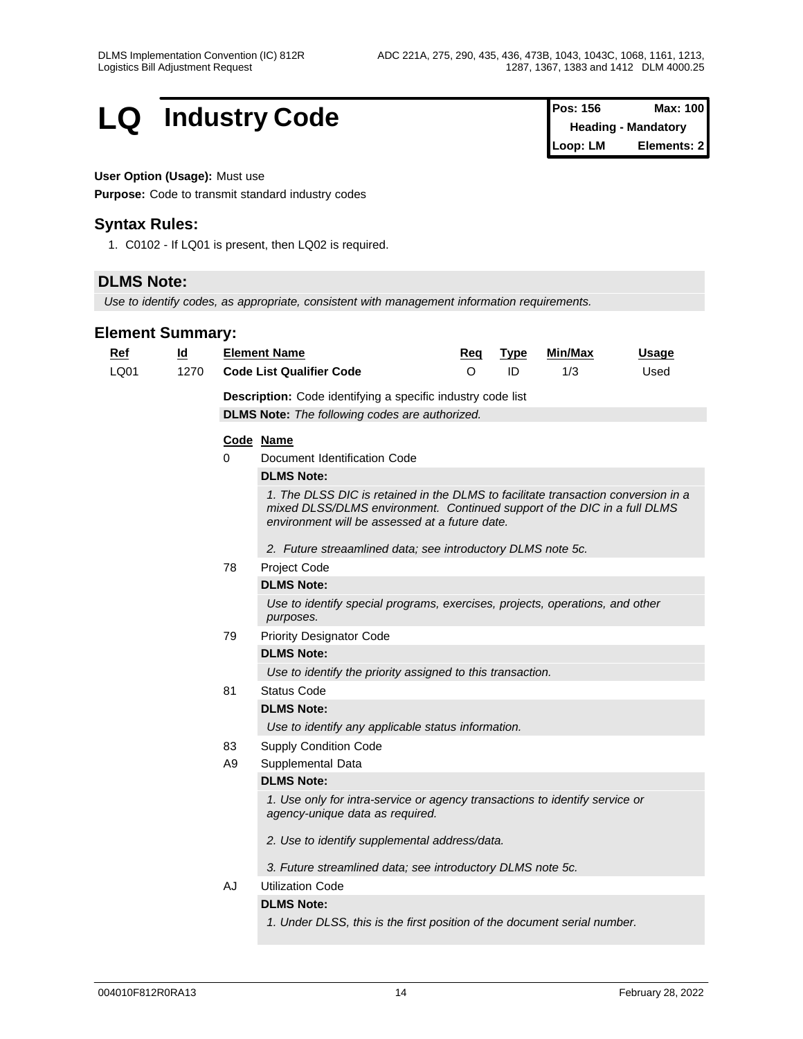## **LQ Industry Code Pos: 156 Max: 100 Pos: 156 Max: 100**

## **User Option (Usage):** Must use

**Purpose:** Code to transmit standard industry codes

## **Syntax Rules:**

1. C0102 - If LQ01 is present, then LQ02 is required.

## **DLMS Note:**

*Use to identify codes, as appropriate, consistent with management information requirements.*

| <u>Ref</u> | $\underline{\mathsf{Id}}$ |                | <b>Element Name</b>                                                                                                                                                                                             | Req | <b>Type</b> | Min/Max | <b>Usage</b> |  |  |  |  |
|------------|---------------------------|----------------|-----------------------------------------------------------------------------------------------------------------------------------------------------------------------------------------------------------------|-----|-------------|---------|--------------|--|--|--|--|
| LQ01       | 1270                      |                | <b>Code List Qualifier Code</b>                                                                                                                                                                                 | O   | ID          | 1/3     | Used         |  |  |  |  |
|            |                           |                | Description: Code identifying a specific industry code list                                                                                                                                                     |     |             |         |              |  |  |  |  |
|            |                           |                | <b>DLMS Note:</b> The following codes are authorized.                                                                                                                                                           |     |             |         |              |  |  |  |  |
|            |                           |                | Code Name                                                                                                                                                                                                       |     |             |         |              |  |  |  |  |
|            |                           | $\mathbf 0$    | Document Identification Code                                                                                                                                                                                    |     |             |         |              |  |  |  |  |
|            |                           |                | <b>DLMS Note:</b>                                                                                                                                                                                               |     |             |         |              |  |  |  |  |
|            |                           |                | 1. The DLSS DIC is retained in the DLMS to facilitate transaction conversion in a<br>mixed DLSS/DLMS environment. Continued support of the DIC in a full DLMS<br>environment will be assessed at a future date. |     |             |         |              |  |  |  |  |
|            |                           |                | 2. Future streaamlined data; see introductory DLMS note 5c.                                                                                                                                                     |     |             |         |              |  |  |  |  |
|            |                           | 78             | Project Code                                                                                                                                                                                                    |     |             |         |              |  |  |  |  |
|            |                           |                | <b>DLMS Note:</b>                                                                                                                                                                                               |     |             |         |              |  |  |  |  |
|            |                           |                | Use to identify special programs, exercises, projects, operations, and other<br>purposes.                                                                                                                       |     |             |         |              |  |  |  |  |
|            |                           | 79             | <b>Priority Designator Code</b>                                                                                                                                                                                 |     |             |         |              |  |  |  |  |
|            |                           |                | <b>DLMS Note:</b>                                                                                                                                                                                               |     |             |         |              |  |  |  |  |
|            |                           |                | Use to identify the priority assigned to this transaction.                                                                                                                                                      |     |             |         |              |  |  |  |  |
|            |                           | 81             | <b>Status Code</b>                                                                                                                                                                                              |     |             |         |              |  |  |  |  |
|            |                           |                | <b>DLMS Note:</b>                                                                                                                                                                                               |     |             |         |              |  |  |  |  |
|            |                           |                | Use to identify any applicable status information.                                                                                                                                                              |     |             |         |              |  |  |  |  |
|            |                           | 83             | <b>Supply Condition Code</b>                                                                                                                                                                                    |     |             |         |              |  |  |  |  |
|            |                           | A <sub>9</sub> | Supplemental Data                                                                                                                                                                                               |     |             |         |              |  |  |  |  |
|            |                           |                | <b>DLMS Note:</b>                                                                                                                                                                                               |     |             |         |              |  |  |  |  |
|            |                           |                | 1. Use only for intra-service or agency transactions to identify service or<br>agency-unique data as required.                                                                                                  |     |             |         |              |  |  |  |  |
|            |                           |                | 2. Use to identify supplemental address/data.                                                                                                                                                                   |     |             |         |              |  |  |  |  |
|            |                           |                | 3. Future streamlined data; see introductory DLMS note 5c.                                                                                                                                                      |     |             |         |              |  |  |  |  |
|            |                           | AJ             | <b>Utilization Code</b>                                                                                                                                                                                         |     |             |         |              |  |  |  |  |
|            |                           |                | <b>DLMS Note:</b>                                                                                                                                                                                               |     |             |         |              |  |  |  |  |
|            |                           |                | 1. Under DLSS, this is the first position of the document serial number.                                                                                                                                        |     |             |         |              |  |  |  |  |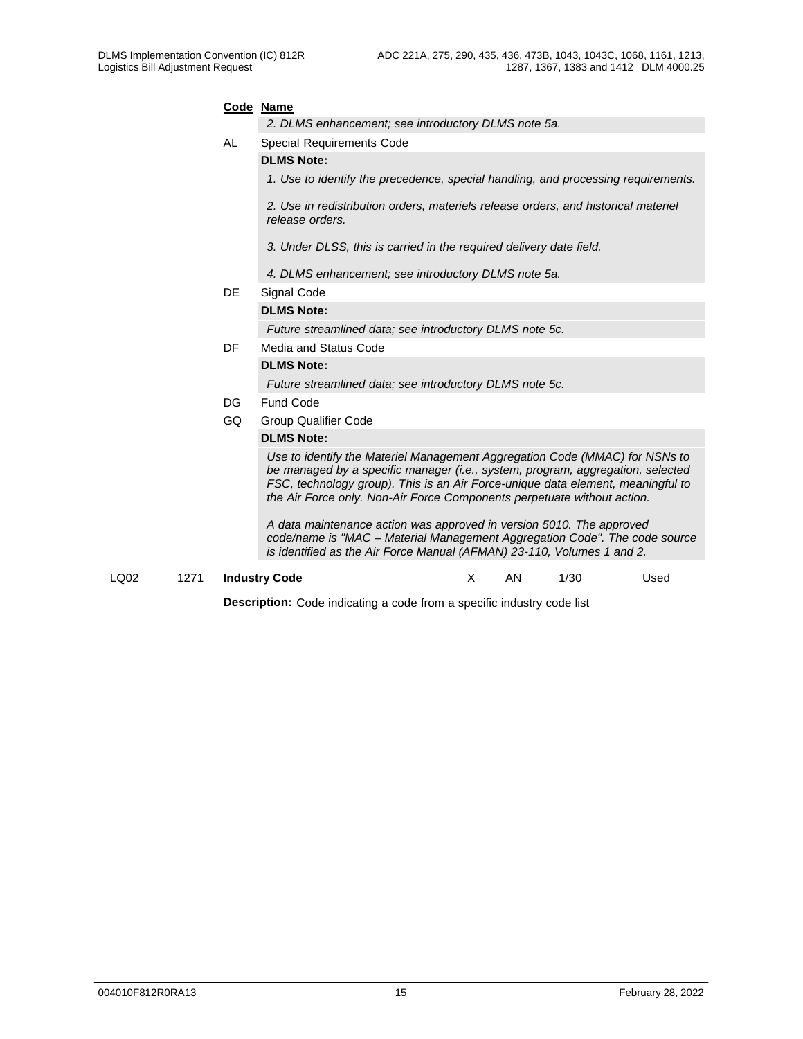|              | Code Name<br>2. DLMS enhancement; see introductory DLMS note 5a.                                                                                                                                                                                                                                                            |    |     |      |      |  |
|--------------|-----------------------------------------------------------------------------------------------------------------------------------------------------------------------------------------------------------------------------------------------------------------------------------------------------------------------------|----|-----|------|------|--|
| AL           | <b>Special Requirements Code</b>                                                                                                                                                                                                                                                                                            |    |     |      |      |  |
|              | <b>DLMS Note:</b>                                                                                                                                                                                                                                                                                                           |    |     |      |      |  |
|              | 1. Use to identify the precedence, special handling, and processing requirements.                                                                                                                                                                                                                                           |    |     |      |      |  |
|              | 2. Use in redistribution orders, materiels release orders, and historical materiel<br>release orders.                                                                                                                                                                                                                       |    |     |      |      |  |
|              | 3. Under DLSS, this is carried in the required delivery date field.                                                                                                                                                                                                                                                         |    |     |      |      |  |
|              | 4. DLMS enhancement; see introductory DLMS note 5a.                                                                                                                                                                                                                                                                         |    |     |      |      |  |
| DE           | Signal Code                                                                                                                                                                                                                                                                                                                 |    |     |      |      |  |
|              | <b>DLMS Note:</b>                                                                                                                                                                                                                                                                                                           |    |     |      |      |  |
|              | Future streamlined data; see introductory DLMS note 5c.                                                                                                                                                                                                                                                                     |    |     |      |      |  |
| DF           | Media and Status Code                                                                                                                                                                                                                                                                                                       |    |     |      |      |  |
|              | <b>DLMS Note:</b>                                                                                                                                                                                                                                                                                                           |    |     |      |      |  |
|              | Future streamlined data; see introductory DLMS note 5c.                                                                                                                                                                                                                                                                     |    |     |      |      |  |
| DG.          | Fund Code                                                                                                                                                                                                                                                                                                                   |    |     |      |      |  |
| GQ           | <b>Group Qualifier Code</b>                                                                                                                                                                                                                                                                                                 |    |     |      |      |  |
|              | <b>DLMS Note:</b>                                                                                                                                                                                                                                                                                                           |    |     |      |      |  |
|              | Use to identify the Materiel Management Aggregation Code (MMAC) for NSNs to<br>be managed by a specific manager (i.e., system, program, aggregation, selected<br>FSC, technology group). This is an Air Force-unique data element, meaningful to<br>the Air Force only. Non-Air Force Components perpetuate without action. |    |     |      |      |  |
|              | A data maintenance action was approved in version 5010. The approved<br>code/name is "MAC - Material Management Aggregation Code". The code source<br>is identified as the Air Force Manual (AFMAN) 23-110, Volumes 1 and 2.                                                                                                |    |     |      |      |  |
| LQ02<br>1271 | <b>Industry Code</b>                                                                                                                                                                                                                                                                                                        | X. | AN. | 1/30 | Used |  |

**Description:** Code indicating a code from a specific industry code list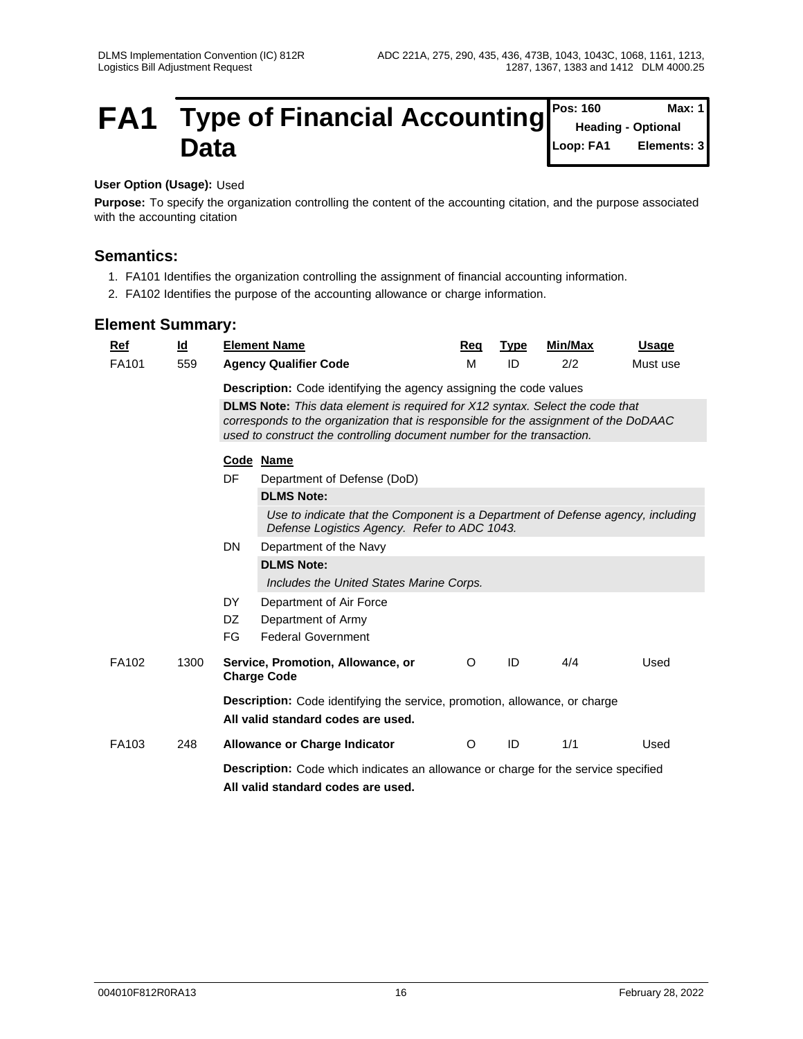#### **FA1** Type of Financial Accounting Pos: 160 Max: 1 Data **Data Loop: FA1** Elements: 3 **Pos: 160 Heading - Optional Loop: FA1 Elements: 3**

#### **User Option (Usage):** Used

**Purpose:** To specify the organization controlling the content of the accounting citation, and the purpose associated with the accounting citation

## **Semantics:**

- 1. FA101 Identifies the organization controlling the assignment of financial accounting information.
- 2. FA102 Identifies the purpose of the accounting allowance or charge information.

| <b>Element Summary:</b> |                           |     |                                                                                                                                                                                                                                                        |         |             |         |              |  |  |  |  |  |  |
|-------------------------|---------------------------|-----|--------------------------------------------------------------------------------------------------------------------------------------------------------------------------------------------------------------------------------------------------------|---------|-------------|---------|--------------|--|--|--|--|--|--|
| Ref                     | $\underline{\mathsf{Id}}$ |     | <b>Element Name</b>                                                                                                                                                                                                                                    | Reg     | <b>Type</b> | Min/Max | <b>Usage</b> |  |  |  |  |  |  |
| FA101                   | 559                       |     | <b>Agency Qualifier Code</b>                                                                                                                                                                                                                           | M       | ID          | 2/2     | Must use     |  |  |  |  |  |  |
|                         |                           |     | Description: Code identifying the agency assigning the code values                                                                                                                                                                                     |         |             |         |              |  |  |  |  |  |  |
|                         |                           |     | <b>DLMS Note:</b> This data element is required for X12 syntax. Select the code that<br>corresponds to the organization that is responsible for the assignment of the DoDAAC<br>used to construct the controlling document number for the transaction. |         |             |         |              |  |  |  |  |  |  |
|                         |                           |     | Code Name                                                                                                                                                                                                                                              |         |             |         |              |  |  |  |  |  |  |
|                         |                           | DF  | Department of Defense (DoD)                                                                                                                                                                                                                            |         |             |         |              |  |  |  |  |  |  |
|                         |                           |     | <b>DLMS Note:</b>                                                                                                                                                                                                                                      |         |             |         |              |  |  |  |  |  |  |
|                         |                           |     | Use to indicate that the Component is a Department of Defense agency, including<br>Defense Logistics Agency. Refer to ADC 1043.                                                                                                                        |         |             |         |              |  |  |  |  |  |  |
|                         |                           | DN  | Department of the Navy                                                                                                                                                                                                                                 |         |             |         |              |  |  |  |  |  |  |
|                         |                           |     | <b>DLMS Note:</b>                                                                                                                                                                                                                                      |         |             |         |              |  |  |  |  |  |  |
|                         |                           |     | Includes the United States Marine Corps.                                                                                                                                                                                                               |         |             |         |              |  |  |  |  |  |  |
|                         |                           | DY  | Department of Air Force                                                                                                                                                                                                                                |         |             |         |              |  |  |  |  |  |  |
|                         |                           | DZ. | Department of Army                                                                                                                                                                                                                                     |         |             |         |              |  |  |  |  |  |  |
|                         |                           | FG  | <b>Federal Government</b>                                                                                                                                                                                                                              |         |             |         |              |  |  |  |  |  |  |
| FA102                   | 1300                      |     | Service, Promotion, Allowance, or<br><b>Charge Code</b>                                                                                                                                                                                                | $\circ$ | ID          | 4/4     | Used         |  |  |  |  |  |  |
|                         |                           |     | <b>Description:</b> Code identifying the service, promotion, allowance, or charge                                                                                                                                                                      |         |             |         |              |  |  |  |  |  |  |
|                         |                           |     | All valid standard codes are used.                                                                                                                                                                                                                     |         |             |         |              |  |  |  |  |  |  |
| FA103                   | 248                       |     | <b>Allowance or Charge Indicator</b>                                                                                                                                                                                                                   | $\circ$ | ID          | 1/1     | Used         |  |  |  |  |  |  |
|                         |                           |     | <b>Description:</b> Code which indicates an allowance or charge for the service specified                                                                                                                                                              |         |             |         |              |  |  |  |  |  |  |
|                         |                           |     | All valid standard codes are used.                                                                                                                                                                                                                     |         |             |         |              |  |  |  |  |  |  |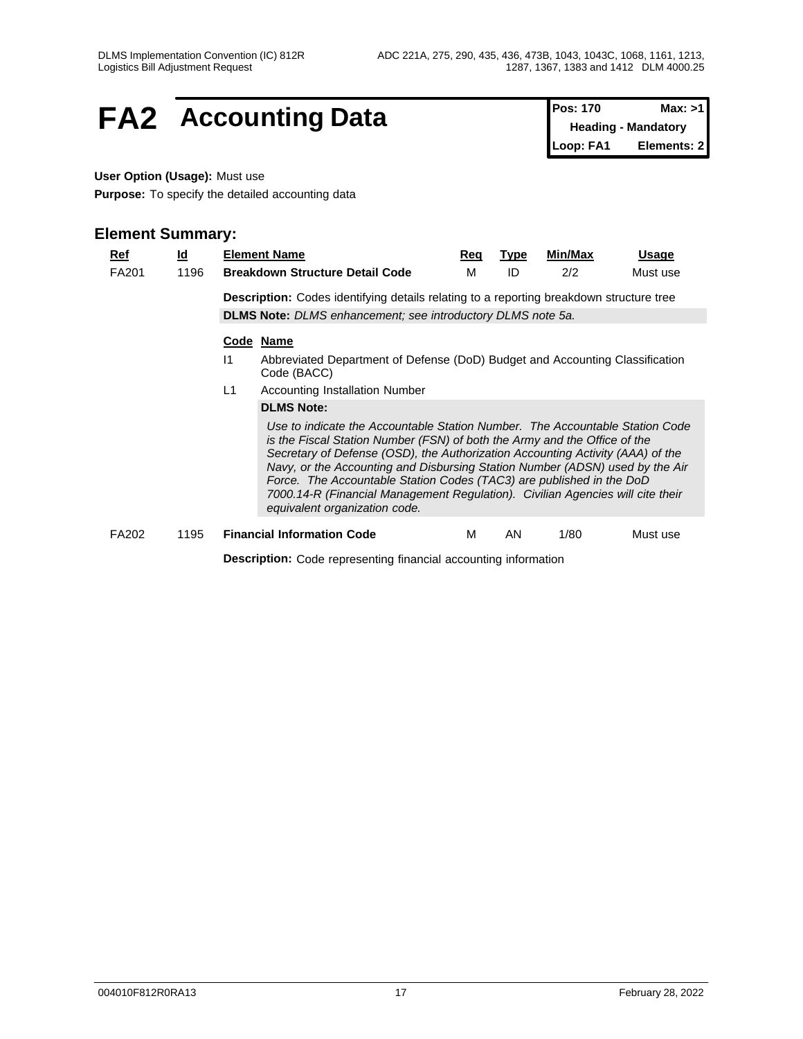## **FA2** Accounting Data **Pos: 170** Max: >1

**Heading - Mandatory Loop: FA1 Elements: 2**

## **User Option (Usage):** Must use

**Purpose:** To specify the detailed accounting data

| Ref          | $\underline{\mathsf{Id}}$ |                                                                                                | <b>Element Name</b>                                                                                                                                                                                                                                                                                                                                                                                                                                                                                                    | <u>Req</u> | Type | Min/Max | Usage    |  |  |  |  |  |  |  |
|--------------|---------------------------|------------------------------------------------------------------------------------------------|------------------------------------------------------------------------------------------------------------------------------------------------------------------------------------------------------------------------------------------------------------------------------------------------------------------------------------------------------------------------------------------------------------------------------------------------------------------------------------------------------------------------|------------|------|---------|----------|--|--|--|--|--|--|--|
| <b>FA201</b> | 1196                      |                                                                                                | <b>Breakdown Structure Detail Code</b>                                                                                                                                                                                                                                                                                                                                                                                                                                                                                 | М          | ID   | 2/2     | Must use |  |  |  |  |  |  |  |
|              |                           | <b>Description:</b> Codes identifying details relating to a reporting breakdown structure tree |                                                                                                                                                                                                                                                                                                                                                                                                                                                                                                                        |            |      |         |          |  |  |  |  |  |  |  |
|              |                           |                                                                                                | <b>DLMS Note:</b> DLMS enhancement; see introductory DLMS note 5a.                                                                                                                                                                                                                                                                                                                                                                                                                                                     |            |      |         |          |  |  |  |  |  |  |  |
|              |                           |                                                                                                | Code Name                                                                                                                                                                                                                                                                                                                                                                                                                                                                                                              |            |      |         |          |  |  |  |  |  |  |  |
|              |                           | 11                                                                                             | Abbreviated Department of Defense (DoD) Budget and Accounting Classification<br>Code (BACC)                                                                                                                                                                                                                                                                                                                                                                                                                            |            |      |         |          |  |  |  |  |  |  |  |
|              |                           | L1<br><b>Accounting Installation Number</b>                                                    |                                                                                                                                                                                                                                                                                                                                                                                                                                                                                                                        |            |      |         |          |  |  |  |  |  |  |  |
|              |                           |                                                                                                | <b>DLMS Note:</b>                                                                                                                                                                                                                                                                                                                                                                                                                                                                                                      |            |      |         |          |  |  |  |  |  |  |  |
|              |                           |                                                                                                | Use to indicate the Accountable Station Number. The Accountable Station Code<br>is the Fiscal Station Number (FSN) of both the Army and the Office of the<br>Secretary of Defense (OSD), the Authorization Accounting Activity (AAA) of the<br>Navy, or the Accounting and Disbursing Station Number (ADSN) used by the Air<br>Force. The Accountable Station Codes (TAC3) are published in the DoD<br>7000.14-R (Financial Management Regulation). Civilian Agencies will cite their<br>equivalent organization code. |            |      |         |          |  |  |  |  |  |  |  |
| <b>FA202</b> | 1195                      |                                                                                                | <b>Financial Information Code</b>                                                                                                                                                                                                                                                                                                                                                                                                                                                                                      | м          | AN   | 1/80    | Must use |  |  |  |  |  |  |  |
|              |                           |                                                                                                | <b>Description:</b> Code representing financial accounting information                                                                                                                                                                                                                                                                                                                                                                                                                                                 |            |      |         |          |  |  |  |  |  |  |  |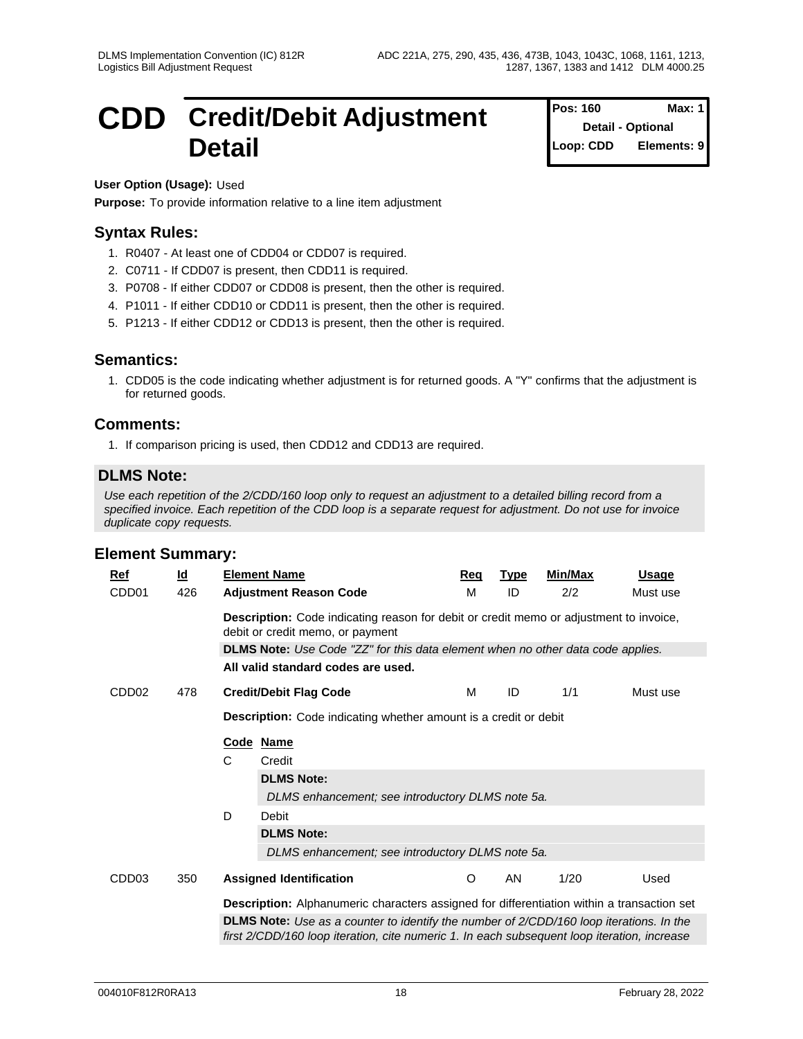**Pos: 160** 

**Detail - Optional Loop: CDD Elements: 9**

## **CDD** Credit/Debit Adjustment Pos: 160 Max: 1 **Detail**

**User Option (Usage):** Used

**Purpose:** To provide information relative to a line item adjustment

## **Syntax Rules:**

- 1. R0407 At least one of CDD04 or CDD07 is required.
- 2. C0711 If CDD07 is present, then CDD11 is required.
- 3. P0708 If either CDD07 or CDD08 is present, then the other is required.
- 4. P1011 If either CDD10 or CDD11 is present, then the other is required.
- 5. P1213 If either CDD12 or CDD13 is present, then the other is required.

## **Semantics:**

1. CDD05 is the code indicating whether adjustment is for returned goods. A "Y" confirms that the adjustment is for returned goods.

## **Comments:**

1. If comparison pricing is used, then CDD12 and CDD13 are required.

## **DLMS Note:**

*Use each repetition of the 2/CDD/160 loop only to request an adjustment to a detailed billing record from a specified invoice. Each repetition of the CDD loop is a separate request for adjustment. Do not use for invoice duplicate copy requests.*

| Ref               | <u>ld</u> |                                                                                                                            | <b>Element Name</b>                                                                                                                                                                           | Req     | <b>Type</b> | <b>Min/Max</b> | <b>Usage</b> |  |  |  |  |  |  |
|-------------------|-----------|----------------------------------------------------------------------------------------------------------------------------|-----------------------------------------------------------------------------------------------------------------------------------------------------------------------------------------------|---------|-------------|----------------|--------------|--|--|--|--|--|--|
| CDD <sub>01</sub> | 426       |                                                                                                                            | <b>Adjustment Reason Code</b>                                                                                                                                                                 | м       | ID          | 2/2            | Must use     |  |  |  |  |  |  |
|                   |           | Description: Code indicating reason for debit or credit memo or adjustment to invoice,<br>debit or credit memo, or payment |                                                                                                                                                                                               |         |             |                |              |  |  |  |  |  |  |
|                   |           |                                                                                                                            | DLMS Note: Use Code "ZZ" for this data element when no other data code applies.                                                                                                               |         |             |                |              |  |  |  |  |  |  |
|                   |           |                                                                                                                            | All valid standard codes are used.                                                                                                                                                            |         |             |                |              |  |  |  |  |  |  |
| CDD <sub>02</sub> | 478       |                                                                                                                            | <b>Credit/Debit Flag Code</b>                                                                                                                                                                 | м       | ID          | 1/1            | Must use     |  |  |  |  |  |  |
|                   |           | <b>Description:</b> Code indicating whether amount is a credit or debit                                                    |                                                                                                                                                                                               |         |             |                |              |  |  |  |  |  |  |
|                   |           |                                                                                                                            | Code Name                                                                                                                                                                                     |         |             |                |              |  |  |  |  |  |  |
|                   |           | С                                                                                                                          | Credit                                                                                                                                                                                        |         |             |                |              |  |  |  |  |  |  |
|                   |           |                                                                                                                            | <b>DLMS Note:</b>                                                                                                                                                                             |         |             |                |              |  |  |  |  |  |  |
|                   |           |                                                                                                                            | DLMS enhancement; see introductory DLMS note 5a.                                                                                                                                              |         |             |                |              |  |  |  |  |  |  |
|                   |           | D                                                                                                                          | Debit                                                                                                                                                                                         |         |             |                |              |  |  |  |  |  |  |
|                   |           |                                                                                                                            | <b>DLMS Note:</b>                                                                                                                                                                             |         |             |                |              |  |  |  |  |  |  |
|                   |           |                                                                                                                            | DLMS enhancement; see introductory DLMS note 5a.                                                                                                                                              |         |             |                |              |  |  |  |  |  |  |
| CDD <sub>03</sub> | 350       |                                                                                                                            | <b>Assigned Identification</b>                                                                                                                                                                | $\circ$ | AN          | 1/20           | Used         |  |  |  |  |  |  |
|                   |           |                                                                                                                            | <b>Description:</b> Alphanumeric characters assigned for differentiation within a transaction set                                                                                             |         |             |                |              |  |  |  |  |  |  |
|                   |           |                                                                                                                            | <b>DLMS Note:</b> Use as a counter to identify the number of 2/CDD/160 loop iterations. In the<br>first 2/CDD/160 loop iteration, cite numeric 1. In each subsequent loop iteration, increase |         |             |                |              |  |  |  |  |  |  |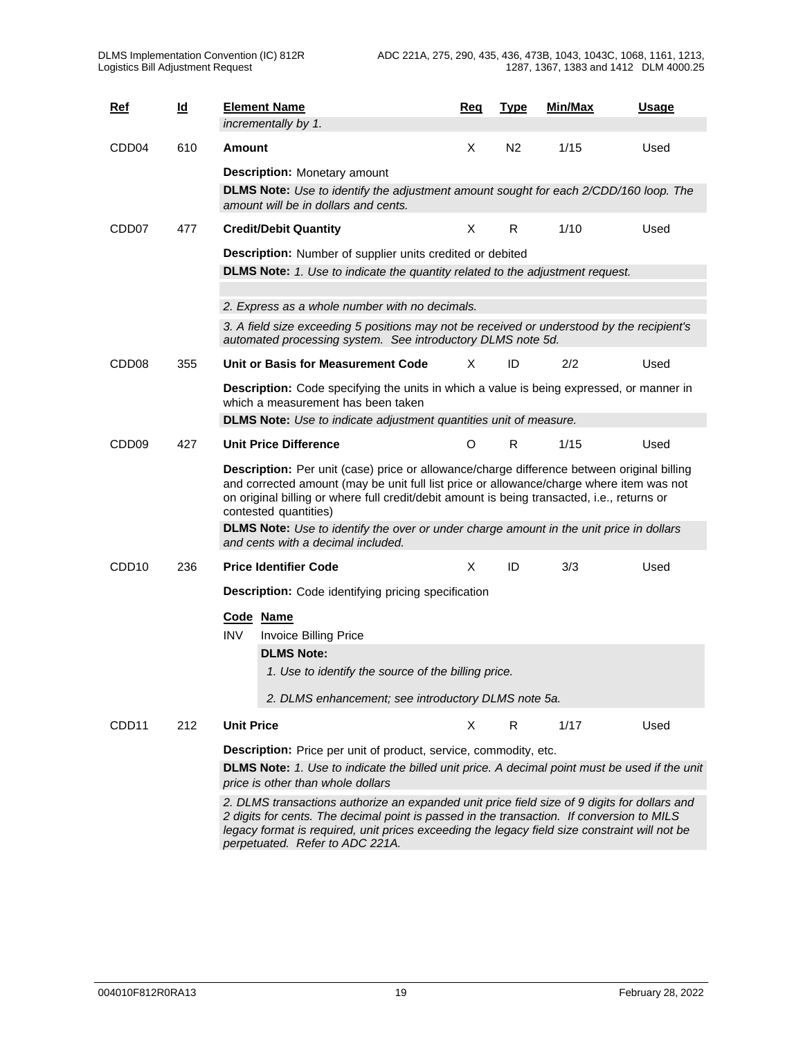| <b>Ref</b>        | <u>ld</u> | <b>Element Name</b>                                                                                                                                                                                                                                                                                            | Req      | <b>Type</b>    | Min/Max | Usage |  |  |  |  |  |  |
|-------------------|-----------|----------------------------------------------------------------------------------------------------------------------------------------------------------------------------------------------------------------------------------------------------------------------------------------------------------------|----------|----------------|---------|-------|--|--|--|--|--|--|
|                   |           | incrementally by 1.                                                                                                                                                                                                                                                                                            |          |                |         |       |  |  |  |  |  |  |
| CDD <sub>04</sub> | 610       | Amount                                                                                                                                                                                                                                                                                                         | X        | N <sub>2</sub> | 1/15    | Used  |  |  |  |  |  |  |
|                   |           | <b>Description:</b> Monetary amount                                                                                                                                                                                                                                                                            |          |                |         |       |  |  |  |  |  |  |
|                   |           | DLMS Note: Use to identify the adjustment amount sought for each 2/CDD/160 loop. The<br>amount will be in dollars and cents.                                                                                                                                                                                   |          |                |         |       |  |  |  |  |  |  |
| CDD <sub>07</sub> | 477       | <b>Credit/Debit Quantity</b>                                                                                                                                                                                                                                                                                   | X        | R              | 1/10    | Used  |  |  |  |  |  |  |
|                   |           | Description: Number of supplier units credited or debited                                                                                                                                                                                                                                                      |          |                |         |       |  |  |  |  |  |  |
|                   |           | <b>DLMS Note:</b> 1. Use to indicate the quantity related to the adjustment request.                                                                                                                                                                                                                           |          |                |         |       |  |  |  |  |  |  |
|                   |           | 2. Express as a whole number with no decimals.                                                                                                                                                                                                                                                                 |          |                |         |       |  |  |  |  |  |  |
|                   |           | 3. A field size exceeding 5 positions may not be received or understood by the recipient's<br>automated processing system. See introductory DLMS note 5d.                                                                                                                                                      |          |                |         |       |  |  |  |  |  |  |
| CDD <sub>08</sub> | 355       | Unit or Basis for Measurement Code                                                                                                                                                                                                                                                                             | X        | ID             | 2/2     | Used  |  |  |  |  |  |  |
|                   |           | Description: Code specifying the units in which a value is being expressed, or manner in<br>which a measurement has been taken                                                                                                                                                                                 |          |                |         |       |  |  |  |  |  |  |
|                   |           | <b>DLMS Note:</b> Use to indicate adjustment quantities unit of measure.                                                                                                                                                                                                                                       |          |                |         |       |  |  |  |  |  |  |
| CDD <sub>09</sub> | 427       | <b>Unit Price Difference</b>                                                                                                                                                                                                                                                                                   | O        | R              | 1/15    | Used  |  |  |  |  |  |  |
|                   |           | Description: Per unit (case) price or allowance/charge difference between original billing<br>and corrected amount (may be unit full list price or allowance/charge where item was not<br>on original billing or where full credit/debit amount is being transacted, i.e., returns or<br>contested quantities) |          |                |         |       |  |  |  |  |  |  |
|                   |           | <b>DLMS Note:</b> Use to identify the over or under charge amount in the unit price in dollars<br>and cents with a decimal included.                                                                                                                                                                           |          |                |         |       |  |  |  |  |  |  |
| CDD <sub>10</sub> | 236       | <b>Price Identifier Code</b>                                                                                                                                                                                                                                                                                   | $\times$ | ID             | 3/3     | Used  |  |  |  |  |  |  |
|                   |           | <b>Description:</b> Code identifying pricing specification                                                                                                                                                                                                                                                     |          |                |         |       |  |  |  |  |  |  |
|                   |           | Code Name                                                                                                                                                                                                                                                                                                      |          |                |         |       |  |  |  |  |  |  |
|                   |           | <b>INV</b><br><b>Invoice Billing Price</b>                                                                                                                                                                                                                                                                     |          |                |         |       |  |  |  |  |  |  |
|                   |           | <b>DLMS Note:</b>                                                                                                                                                                                                                                                                                              |          |                |         |       |  |  |  |  |  |  |
|                   |           | 1. Use to identify the source of the billing price.                                                                                                                                                                                                                                                            |          |                |         |       |  |  |  |  |  |  |
|                   |           | 2. DLMS enhancement; see introductory DLMS note 5a.                                                                                                                                                                                                                                                            |          |                |         |       |  |  |  |  |  |  |
| CDD <sub>11</sub> | 212       | <b>Unit Price</b>                                                                                                                                                                                                                                                                                              | X        | R              | 1/17    | Used  |  |  |  |  |  |  |
|                   |           | <b>Description:</b> Price per unit of product, service, commodity, etc.                                                                                                                                                                                                                                        |          |                |         |       |  |  |  |  |  |  |
|                   |           | <b>DLMS Note:</b> 1. Use to indicate the billed unit price. A decimal point must be used if the unit<br>price is other than whole dollars                                                                                                                                                                      |          |                |         |       |  |  |  |  |  |  |
|                   |           | 2. DLMS transactions authorize an expanded unit price field size of 9 digits for dollars and<br>2 digits for cents. The decimal point is passed in the transaction. If conversion to MILS<br>legacy format is required, unit prices exceeding the legacy field size constraint will not be                     |          |                |         |       |  |  |  |  |  |  |

*perpetuated. Refer to ADC 221A.*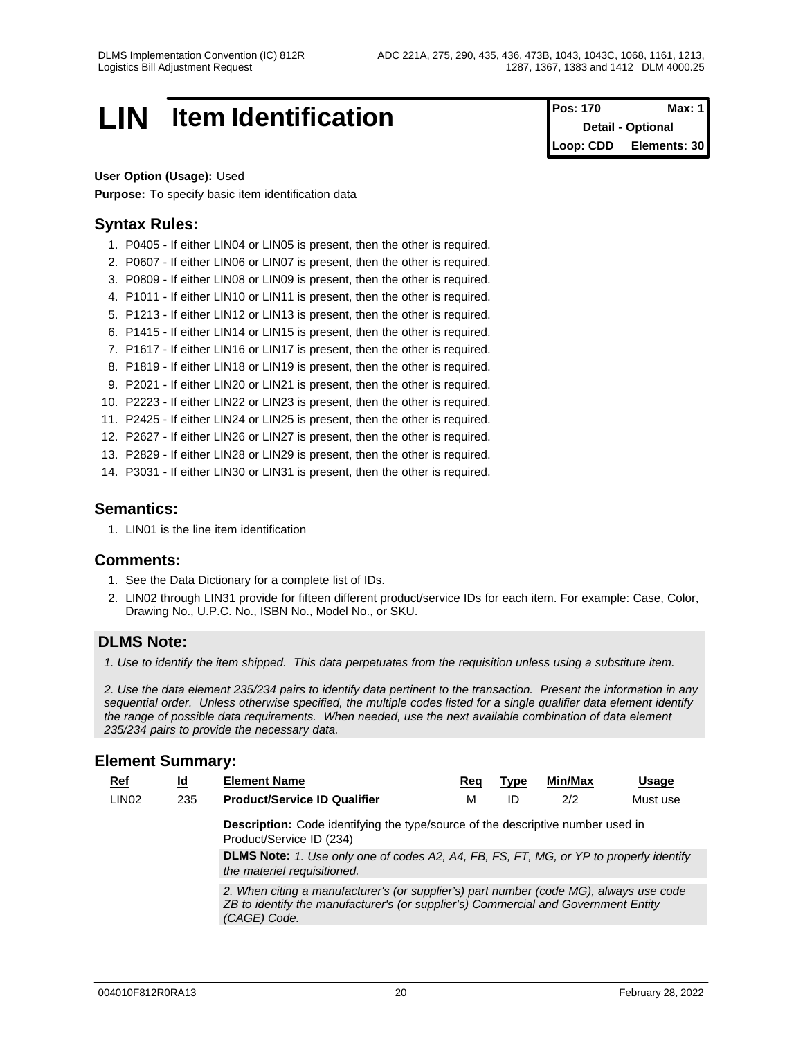## **LIN Item Identification Pos: 170 Max: 1**

**Detail - Optional Loop: CDD Elements: 30**

#### **User Option (Usage):** Used

**Purpose:** To specify basic item identification data

## **Syntax Rules:**

- 1. P0405 If either LIN04 or LIN05 is present, then the other is required.
- 2. P0607 If either LIN06 or LIN07 is present, then the other is required.
- 3. P0809 If either LIN08 or LIN09 is present, then the other is required.
- 4. P1011 If either LIN10 or LIN11 is present, then the other is required.
- 5. P1213 If either LIN12 or LIN13 is present, then the other is required.
- 6. P1415 If either LIN14 or LIN15 is present, then the other is required.
- 7. P1617 If either LIN16 or LIN17 is present, then the other is required.
- 8. P1819 If either LIN18 or LIN19 is present, then the other is required.
- 9. P2021 If either LIN20 or LIN21 is present, then the other is required.
- 10. P2223 If either LIN22 or LIN23 is present, then the other is required.
- 11. P2425 If either LIN24 or LIN25 is present, then the other is required.
- 12. P2627 If either LIN26 or LIN27 is present, then the other is required.
- 13. P2829 If either LIN28 or LIN29 is present, then the other is required.
- 14. P3031 If either LIN30 or LIN31 is present, then the other is required.

## **Semantics:**

1. LIN01 is the line item identification

#### **Comments:**

- 1. See the Data Dictionary for a complete list of IDs.
- 2. LIN02 through LIN31 provide for fifteen different product/service IDs for each item. For example: Case, Color, Drawing No., U.P.C. No., ISBN No., Model No., or SKU.

## **DLMS Note:**

*1. Use to identify the item shipped. This data perpetuates from the requisition unless using a substitute item.*

*2. Use the data element 235/234 pairs to identify data pertinent to the transaction. Present the information in any sequential order. Unless otherwise specified, the multiple codes listed for a single qualifier data element identify the range of possible data requirements. When needed, use the next available combination of data element 235/234 pairs to provide the necessary data.*

| $Ref$             | $\underline{\mathsf{Id}}$ | <b>Element Name</b>                                                                                                                                                                          | Reg | Type | Min/Max | Usage    |  |  |  |  |  |
|-------------------|---------------------------|----------------------------------------------------------------------------------------------------------------------------------------------------------------------------------------------|-----|------|---------|----------|--|--|--|--|--|
| LIN <sub>02</sub> | 235                       | <b>Product/Service ID Qualifier</b>                                                                                                                                                          | M   | ID   | 2/2     | Must use |  |  |  |  |  |
|                   |                           | Description: Code identifying the type/source of the descriptive number used in<br>Product/Service ID (234)                                                                                  |     |      |         |          |  |  |  |  |  |
|                   |                           | <b>DLMS Note:</b> 1. Use only one of codes A2, A4, FB, FS, FT, MG, or YP to properly identify<br>the materiel requisitioned.                                                                 |     |      |         |          |  |  |  |  |  |
|                   |                           | 2. When citing a manufacturer's (or supplier's) part number (code MG), always use code<br>ZB to identify the manufacturer's (or supplier's) Commercial and Government Entity<br>(CAGE) Code. |     |      |         |          |  |  |  |  |  |
|                   |                           |                                                                                                                                                                                              |     |      |         |          |  |  |  |  |  |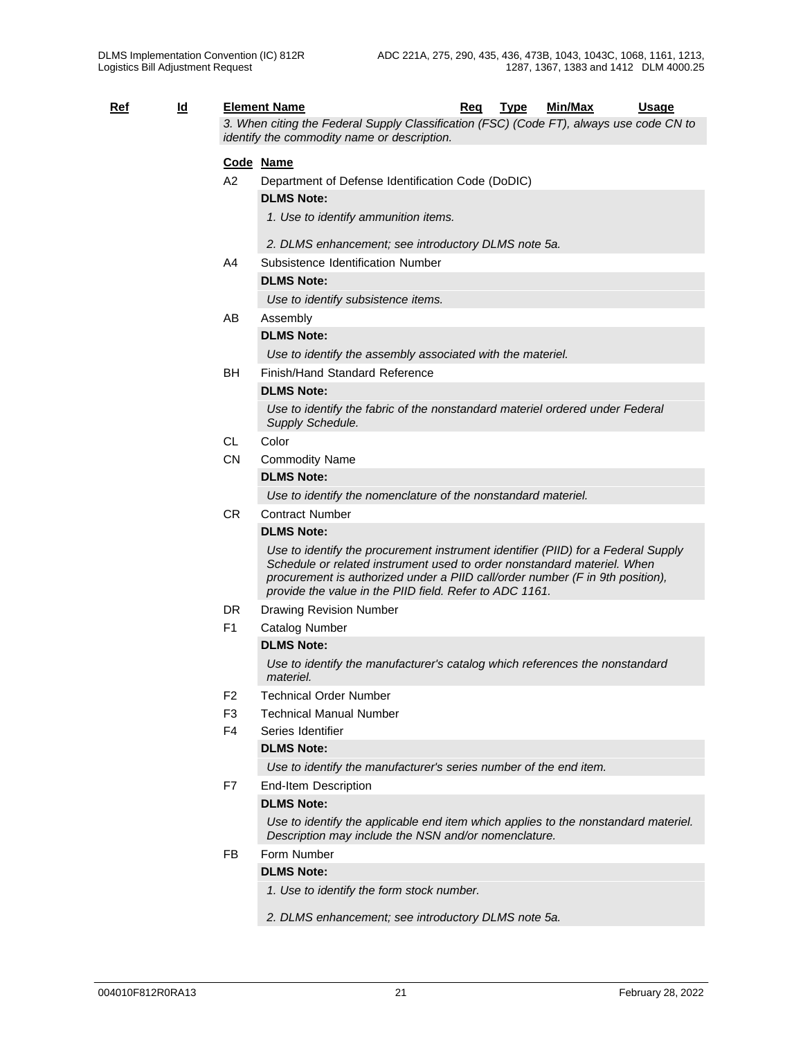|            |           |                | <b>Element Name</b>                                                                                                                                                                                                                                                                                      |     |             | <b>Min/Max</b> | <b>Usage</b> |
|------------|-----------|----------------|----------------------------------------------------------------------------------------------------------------------------------------------------------------------------------------------------------------------------------------------------------------------------------------------------------|-----|-------------|----------------|--------------|
| <u>Ref</u> | <u>ld</u> |                | 3. When citing the Federal Supply Classification (FSC) (Code FT), always use code CN to<br>identify the commodity name or description.                                                                                                                                                                   | Req | <b>Type</b> |                |              |
|            |           |                | Code Name                                                                                                                                                                                                                                                                                                |     |             |                |              |
|            |           | A2             | Department of Defense Identification Code (DoDIC)                                                                                                                                                                                                                                                        |     |             |                |              |
|            |           |                | <b>DLMS Note:</b>                                                                                                                                                                                                                                                                                        |     |             |                |              |
|            |           |                | 1. Use to identify ammunition items.                                                                                                                                                                                                                                                                     |     |             |                |              |
|            |           |                | 2. DLMS enhancement; see introductory DLMS note 5a.                                                                                                                                                                                                                                                      |     |             |                |              |
|            |           | A4             | Subsistence Identification Number                                                                                                                                                                                                                                                                        |     |             |                |              |
|            |           |                | <b>DLMS Note:</b>                                                                                                                                                                                                                                                                                        |     |             |                |              |
|            |           |                | Use to identify subsistence items.                                                                                                                                                                                                                                                                       |     |             |                |              |
|            |           | AB             | Assembly                                                                                                                                                                                                                                                                                                 |     |             |                |              |
|            |           |                | <b>DLMS Note:</b>                                                                                                                                                                                                                                                                                        |     |             |                |              |
|            |           |                | Use to identify the assembly associated with the materiel.                                                                                                                                                                                                                                               |     |             |                |              |
|            |           | BH             | Finish/Hand Standard Reference                                                                                                                                                                                                                                                                           |     |             |                |              |
|            |           |                | <b>DLMS Note:</b>                                                                                                                                                                                                                                                                                        |     |             |                |              |
|            |           |                | Use to identify the fabric of the nonstandard materiel ordered under Federal<br>Supply Schedule.                                                                                                                                                                                                         |     |             |                |              |
|            |           | <b>CL</b>      | Color                                                                                                                                                                                                                                                                                                    |     |             |                |              |
|            |           | <b>CN</b>      | <b>Commodity Name</b>                                                                                                                                                                                                                                                                                    |     |             |                |              |
|            |           |                | <b>DLMS Note:</b>                                                                                                                                                                                                                                                                                        |     |             |                |              |
|            |           |                | Use to identify the nomenclature of the nonstandard materiel.                                                                                                                                                                                                                                            |     |             |                |              |
|            |           | <b>CR</b>      | <b>Contract Number</b>                                                                                                                                                                                                                                                                                   |     |             |                |              |
|            |           |                | <b>DLMS Note:</b>                                                                                                                                                                                                                                                                                        |     |             |                |              |
|            |           |                | Use to identify the procurement instrument identifier (PIID) for a Federal Supply<br>Schedule or related instrument used to order nonstandard materiel. When<br>procurement is authorized under a PIID call/order number (F in 9th position),<br>provide the value in the PIID field. Refer to ADC 1161. |     |             |                |              |
|            |           | DR.            | Drawing Revision Number                                                                                                                                                                                                                                                                                  |     |             |                |              |
|            |           | F <sub>1</sub> | <b>Catalog Number</b>                                                                                                                                                                                                                                                                                    |     |             |                |              |
|            |           |                | <b>DLMS Note:</b>                                                                                                                                                                                                                                                                                        |     |             |                |              |
|            |           |                | Use to identify the manufacturer's catalog which references the nonstandard<br>materiel.                                                                                                                                                                                                                 |     |             |                |              |
|            |           | F <sub>2</sub> | <b>Technical Order Number</b>                                                                                                                                                                                                                                                                            |     |             |                |              |
|            |           | F <sub>3</sub> | <b>Technical Manual Number</b>                                                                                                                                                                                                                                                                           |     |             |                |              |
|            |           | F <sub>4</sub> | Series Identifier                                                                                                                                                                                                                                                                                        |     |             |                |              |
|            |           |                | <b>DLMS Note:</b><br>Use to identify the manufacturer's series number of the end item.                                                                                                                                                                                                                   |     |             |                |              |
|            |           | F7             | End-Item Description                                                                                                                                                                                                                                                                                     |     |             |                |              |
|            |           |                | <b>DLMS Note:</b>                                                                                                                                                                                                                                                                                        |     |             |                |              |
|            |           |                | Use to identify the applicable end item which applies to the nonstandard materiel.<br>Description may include the NSN and/or nomenclature.                                                                                                                                                               |     |             |                |              |
|            |           | FB             | Form Number                                                                                                                                                                                                                                                                                              |     |             |                |              |
|            |           |                | <b>DLMS Note:</b>                                                                                                                                                                                                                                                                                        |     |             |                |              |

*1. Use to identify the form stock number.*

*2. DLMS enhancement; see introductory DLMS note 5a.*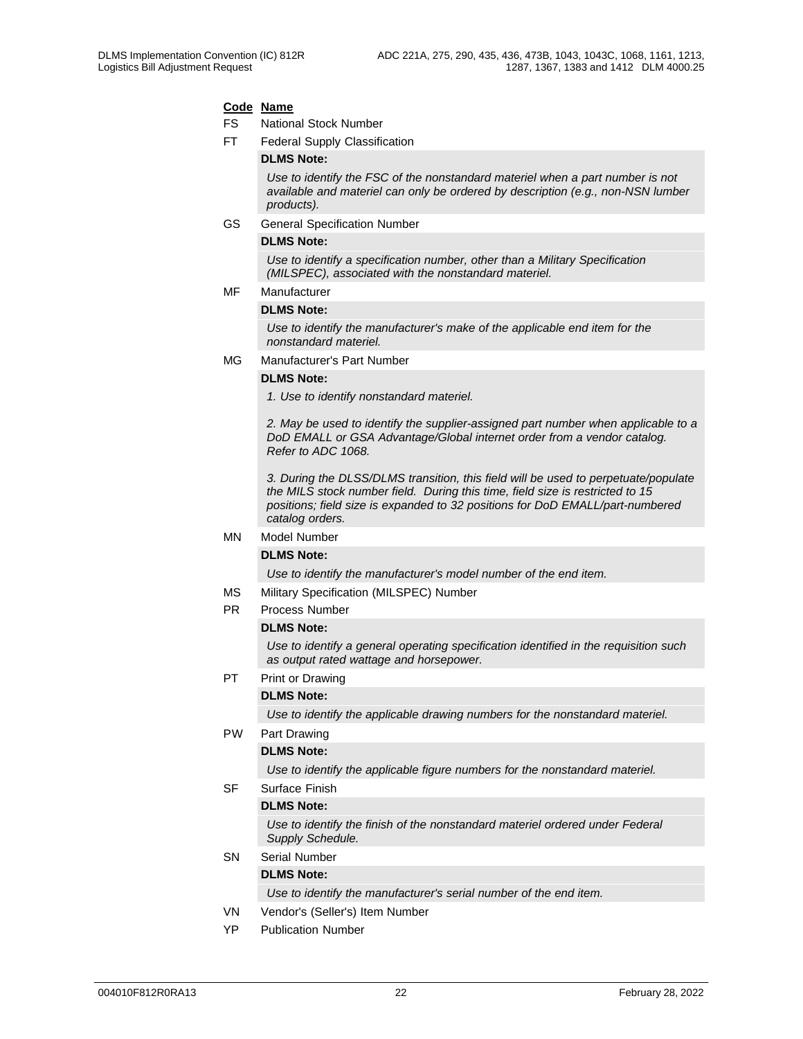#### **Code Name**

FS National Stock Number

FT Federal Supply Classification

#### **DLMS Note:**

*Use to identify the FSC of the nonstandard materiel when a part number is not available and materiel can only be ordered by description (e.g., non-NSN lumber products).*

GS General Specification Number

#### **DLMS Note:**

*Use to identify a specification number, other than a Military Specification (MILSPEC), associated with the nonstandard materiel.* 

MF Manufacturer

#### **DLMS Note:**

*Use to identify the manufacturer's make of the applicable end item for the nonstandard materiel.* 

MG Manufacturer's Part Number

#### **DLMS Note:**

*1. Use to identify nonstandard materiel.*

*2. May be used to identify the supplier-assigned part number when applicable to a DoD EMALL or GSA Advantage/Global internet order from a vendor catalog. Refer to ADC 1068.*

*3. During the DLSS/DLMS transition, this field will be used to perpetuate/populate the MILS stock number field. During this time, field size is restricted to 15 positions; field size is expanded to 32 positions for DoD EMALL/part-numbered catalog orders.*

#### MN Model Number

#### **DLMS Note:**

*Use to identify the manufacturer's model number of the end item.* 

- MS Military Specification (MILSPEC) Number
- PR Process Number

#### **DLMS Note:**

*Use to identify a general operating specification identified in the requisition such as output rated wattage and horsepower.*

PT Print or Drawing

#### **DLMS Note:**

*Use to identify the applicable drawing numbers for the nonstandard materiel.* 

#### PW Part Drawing

#### **DLMS Note:**

*Use to identify the applicable figure numbers for the nonstandard materiel.* 

SF Surface Finish

#### **DLMS Note:**

*Use to identify the finish of the nonstandard materiel ordered under Federal Supply Schedule.* 

SN Serial Number

#### **DLMS Note:**

*Use to identify the manufacturer's serial number of the end item.* 

- VN Vendor's (Seller's) Item Number
- YP Publication Number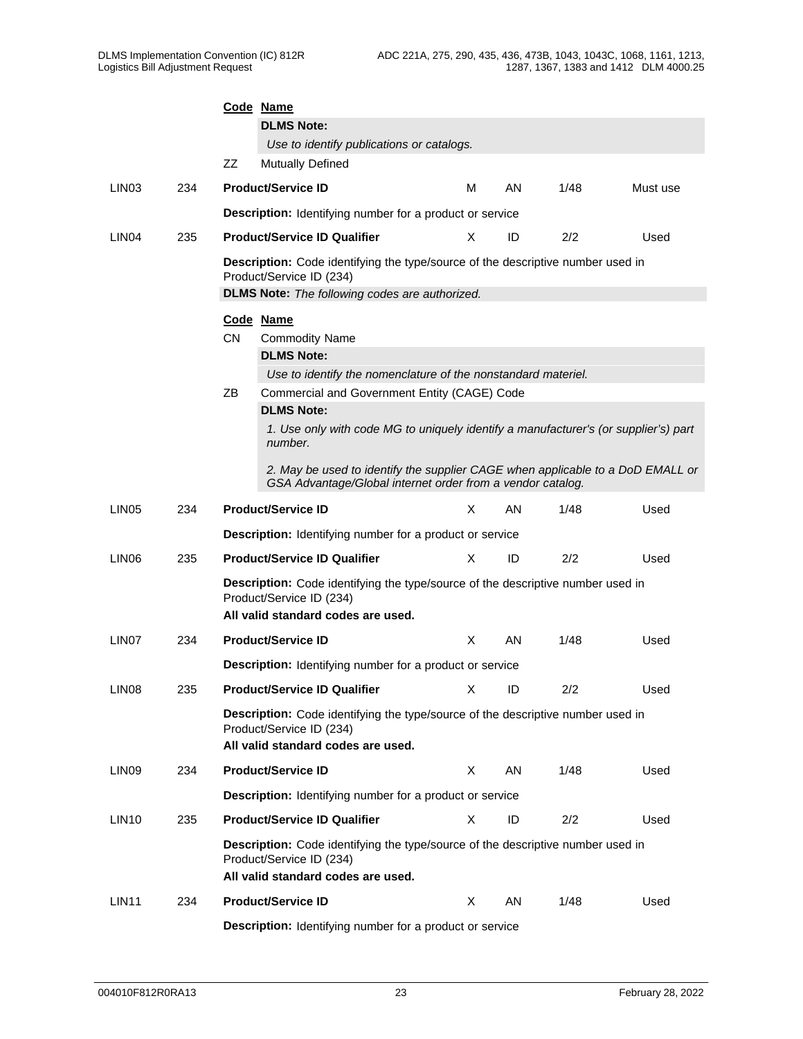|                   |     | Code Name                                                                                                     |                                                                                                                                                   |    |    |      |          |  |  |  |  |  |
|-------------------|-----|---------------------------------------------------------------------------------------------------------------|---------------------------------------------------------------------------------------------------------------------------------------------------|----|----|------|----------|--|--|--|--|--|
|                   |     |                                                                                                               | <b>DLMS Note:</b>                                                                                                                                 |    |    |      |          |  |  |  |  |  |
|                   |     |                                                                                                               | Use to identify publications or catalogs.                                                                                                         |    |    |      |          |  |  |  |  |  |
|                   |     | ZZ                                                                                                            | <b>Mutually Defined</b>                                                                                                                           |    |    |      |          |  |  |  |  |  |
| LIN <sub>03</sub> | 234 |                                                                                                               | <b>Product/Service ID</b>                                                                                                                         | M  | AN | 1/48 | Must use |  |  |  |  |  |
|                   |     |                                                                                                               | <b>Description:</b> Identifying number for a product or service                                                                                   |    |    |      |          |  |  |  |  |  |
| LIN <sub>04</sub> | 235 |                                                                                                               | <b>Product/Service ID Qualifier</b>                                                                                                               | X  | ID | 2/2  | Used     |  |  |  |  |  |
|                   |     |                                                                                                               | Description: Code identifying the type/source of the descriptive number used in<br>Product/Service ID (234)                                       |    |    |      |          |  |  |  |  |  |
|                   |     | <b>DLMS Note:</b> The following codes are authorized.                                                         |                                                                                                                                                   |    |    |      |          |  |  |  |  |  |
|                   |     | Code Name                                                                                                     |                                                                                                                                                   |    |    |      |          |  |  |  |  |  |
|                   |     | <b>CN</b>                                                                                                     | <b>Commodity Name</b>                                                                                                                             |    |    |      |          |  |  |  |  |  |
|                   |     |                                                                                                               | <b>DLMS Note:</b>                                                                                                                                 |    |    |      |          |  |  |  |  |  |
|                   |     | Use to identify the nomenclature of the nonstandard materiel.<br>Commercial and Government Entity (CAGE) Code |                                                                                                                                                   |    |    |      |          |  |  |  |  |  |
|                   |     | ΖB                                                                                                            |                                                                                                                                                   |    |    |      |          |  |  |  |  |  |
|                   |     | <b>DLMS Note:</b>                                                                                             |                                                                                                                                                   |    |    |      |          |  |  |  |  |  |
|                   |     |                                                                                                               | 1. Use only with code MG to uniquely identify a manufacturer's (or supplier's) part<br>number.                                                    |    |    |      |          |  |  |  |  |  |
|                   |     |                                                                                                               | 2. May be used to identify the supplier CAGE when applicable to a DoD EMALL or<br>GSA Advantage/Global internet order from a vendor catalog.      |    |    |      |          |  |  |  |  |  |
| LIN <sub>05</sub> | 234 |                                                                                                               | <b>Product/Service ID</b>                                                                                                                         | X  | AN | 1/48 | Used     |  |  |  |  |  |
|                   |     |                                                                                                               | <b>Description:</b> Identifying number for a product or service                                                                                   |    |    |      |          |  |  |  |  |  |
| LIN <sub>06</sub> | 235 |                                                                                                               | <b>Product/Service ID Qualifier</b>                                                                                                               | X  | ID | 2/2  | Used     |  |  |  |  |  |
|                   |     |                                                                                                               | Description: Code identifying the type/source of the descriptive number used in<br>Product/Service ID (234)<br>All valid standard codes are used. |    |    |      |          |  |  |  |  |  |
|                   |     |                                                                                                               |                                                                                                                                                   |    |    |      |          |  |  |  |  |  |
| LIN <sub>07</sub> | 234 |                                                                                                               | <b>Product/Service ID</b>                                                                                                                         | X  | AN | 1/48 | Used     |  |  |  |  |  |
|                   |     |                                                                                                               | <b>Description:</b> Identifying number for a product or service                                                                                   |    |    |      |          |  |  |  |  |  |
| LIN <sub>08</sub> | 235 |                                                                                                               | <b>Product/Service ID Qualifier</b>                                                                                                               | X. | ID | 2/2  | Used     |  |  |  |  |  |
|                   |     |                                                                                                               | Description: Code identifying the type/source of the descriptive number used in<br>Product/Service ID (234)<br>All valid standard codes are used. |    |    |      |          |  |  |  |  |  |
| LIN <sub>09</sub> | 234 |                                                                                                               | <b>Product/Service ID</b>                                                                                                                         | X  | AN | 1/48 | Used     |  |  |  |  |  |
|                   |     |                                                                                                               | Description: Identifying number for a product or service                                                                                          |    |    |      |          |  |  |  |  |  |
| LIN <sub>10</sub> | 235 |                                                                                                               | <b>Product/Service ID Qualifier</b>                                                                                                               | X  | ID | 2/2  | Used     |  |  |  |  |  |
|                   |     |                                                                                                               | Description: Code identifying the type/source of the descriptive number used in<br>Product/Service ID (234)<br>All valid standard codes are used. |    |    |      |          |  |  |  |  |  |
| LIN <sub>11</sub> | 234 |                                                                                                               | <b>Product/Service ID</b>                                                                                                                         | X  | AN | 1/48 | Used     |  |  |  |  |  |
|                   |     |                                                                                                               | Description: Identifying number for a product or service                                                                                          |    |    |      |          |  |  |  |  |  |
|                   |     |                                                                                                               |                                                                                                                                                   |    |    |      |          |  |  |  |  |  |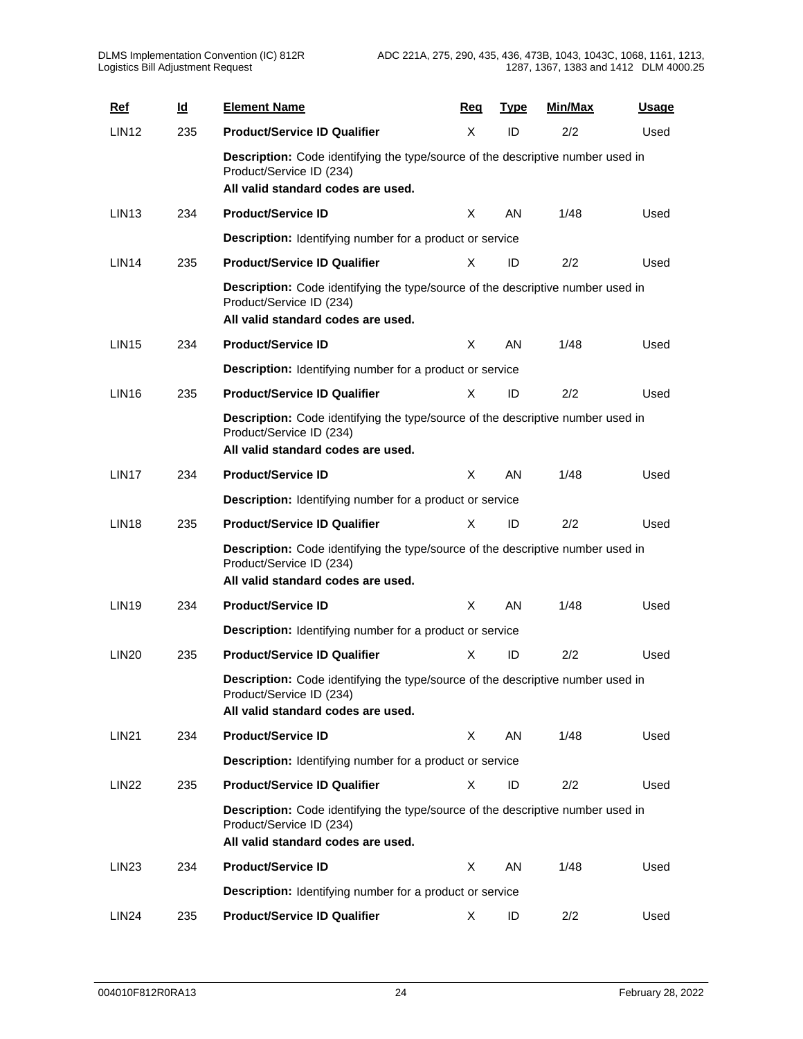| <b>Ref</b>        | <u>ld</u> | <b>Element Name</b>                                                                                                                                      | Req | <b>Type</b> | Min/Max | <u>Usage</u> |
|-------------------|-----------|----------------------------------------------------------------------------------------------------------------------------------------------------------|-----|-------------|---------|--------------|
| <b>LIN12</b>      | 235       | <b>Product/Service ID Qualifier</b>                                                                                                                      | X   | ID          | 2/2     | Used         |
|                   |           | Description: Code identifying the type/source of the descriptive number used in<br>Product/Service ID (234)<br>All valid standard codes are used.        |     |             |         |              |
| LIN <sub>13</sub> | 234       | <b>Product/Service ID</b>                                                                                                                                | X   | AN          | 1/48    | Used         |
|                   |           | <b>Description:</b> Identifying number for a product or service                                                                                          |     |             |         |              |
| LIN <sub>14</sub> | 235       | <b>Product/Service ID Qualifier</b>                                                                                                                      | X   | ID          | 2/2     | Used         |
|                   |           | Description: Code identifying the type/source of the descriptive number used in<br>Product/Service ID (234)<br>All valid standard codes are used.        |     |             |         |              |
| LIN <sub>15</sub> | 234       | <b>Product/Service ID</b>                                                                                                                                | X   | AN          | 1/48    | Used         |
|                   |           | <b>Description:</b> Identifying number for a product or service                                                                                          |     |             |         |              |
| <b>LIN16</b>      | 235       | <b>Product/Service ID Qualifier</b>                                                                                                                      | X   | ID          | 2/2     | Used         |
|                   |           | Description: Code identifying the type/source of the descriptive number used in<br>Product/Service ID (234)<br>All valid standard codes are used.        |     |             |         |              |
| LIN <sub>17</sub> | 234       | <b>Product/Service ID</b>                                                                                                                                | X   | AN          | 1/48    | Used         |
|                   |           | <b>Description:</b> Identifying number for a product or service                                                                                          |     |             |         |              |
| LIN <sub>18</sub> | 235       | <b>Product/Service ID Qualifier</b>                                                                                                                      | X   | ID          | 2/2     | Used         |
|                   |           | Description: Code identifying the type/source of the descriptive number used in<br>Product/Service ID (234)<br>All valid standard codes are used.        |     |             |         |              |
| <b>LIN19</b>      | 234       | <b>Product/Service ID</b>                                                                                                                                | X   | AN          | 1/48    | Used         |
|                   |           | <b>Description:</b> Identifying number for a product or service                                                                                          |     |             |         |              |
| <b>LIN20</b>      | 235       | <b>Product/Service ID Qualifier</b>                                                                                                                      | X   | ID          | 2/2     | Used         |
|                   |           | <b>Description:</b> Code identifying the type/source of the descriptive number used in<br>Product/Service ID (234)<br>All valid standard codes are used. |     |             |         |              |
| <b>LIN21</b>      | 234       | <b>Product/Service ID</b>                                                                                                                                | X   | AN          | 1/48    | Used         |
|                   |           | <b>Description:</b> Identifying number for a product or service                                                                                          |     |             |         |              |
| <b>LIN22</b>      | 235       | <b>Product/Service ID Qualifier</b>                                                                                                                      | X   | ID          | 2/2     | Used         |
|                   |           | Description: Code identifying the type/source of the descriptive number used in<br>Product/Service ID (234)<br>All valid standard codes are used.        |     |             |         |              |
| LIN <sub>23</sub> | 234       | <b>Product/Service ID</b>                                                                                                                                | X   | AN          | 1/48    | Used         |
|                   |           | <b>Description:</b> Identifying number for a product or service                                                                                          |     |             |         |              |
| LIN <sub>24</sub> | 235       | <b>Product/Service ID Qualifier</b>                                                                                                                      | X   | ID          | 2/2     | Used         |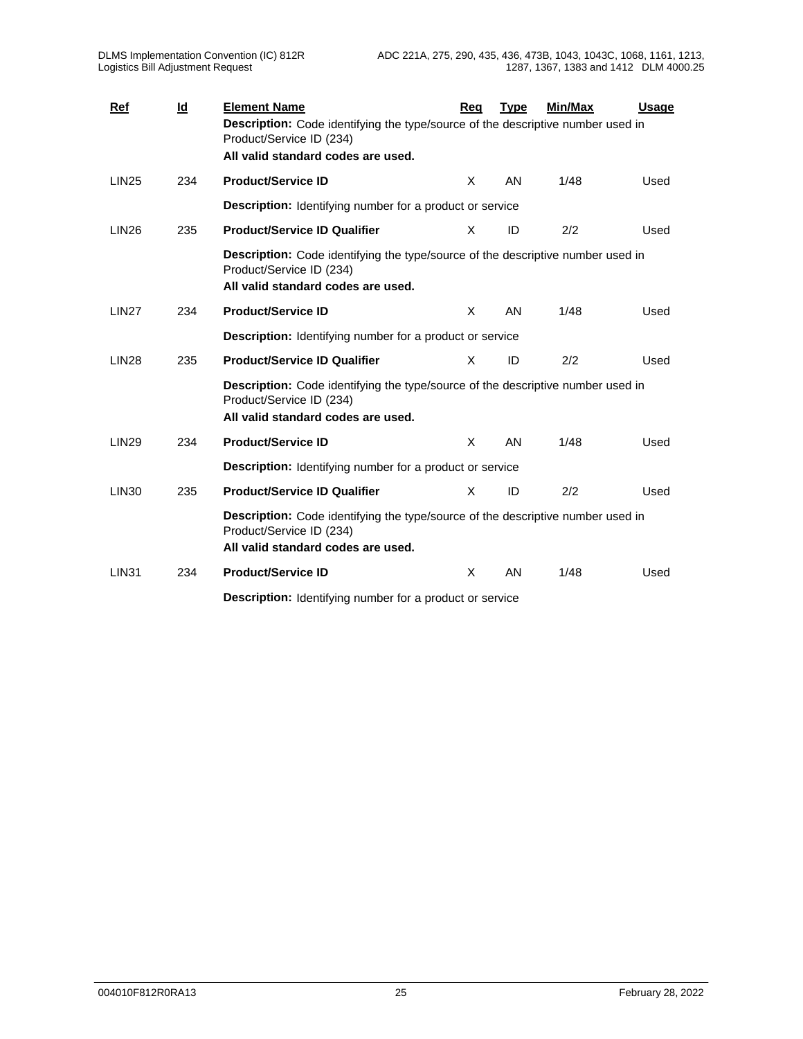| <b>Ref</b>        | $\underline{\mathsf{Id}}$ | <b>Element Name</b>                                                                                                                               | Rea      | <b>Type</b> | Min/Max | <b>Usage</b> |  |
|-------------------|---------------------------|---------------------------------------------------------------------------------------------------------------------------------------------------|----------|-------------|---------|--------------|--|
|                   |                           | Description: Code identifying the type/source of the descriptive number used in<br>Product/Service ID (234)                                       |          |             |         |              |  |
|                   |                           | All valid standard codes are used.                                                                                                                |          |             |         |              |  |
| <b>LIN25</b>      | 234                       | <b>Product/Service ID</b>                                                                                                                         | X        | AN          | 1/48    | Used         |  |
|                   |                           | Description: Identifying number for a product or service                                                                                          |          |             |         |              |  |
| LIN <sub>26</sub> | 235                       | <b>Product/Service ID Qualifier</b>                                                                                                               | X        | ID          | 2/2     | Used         |  |
|                   |                           | Description: Code identifying the type/source of the descriptive number used in<br>Product/Service ID (234)<br>All valid standard codes are used. |          |             |         |              |  |
| <b>LIN27</b>      | 234                       | <b>Product/Service ID</b>                                                                                                                         | X        | AN          | 1/48    | Used         |  |
|                   |                           | <b>Description:</b> Identifying number for a product or service                                                                                   |          |             |         |              |  |
| <b>LIN28</b>      | 235                       | <b>Product/Service ID Qualifier</b>                                                                                                               | X        | ID          | 2/2     | Used         |  |
|                   |                           | Description: Code identifying the type/source of the descriptive number used in<br>Product/Service ID (234)<br>All valid standard codes are used. |          |             |         |              |  |
| <b>LIN29</b>      | 234                       | <b>Product/Service ID</b>                                                                                                                         | $\times$ | AN          | 1/48    | Used         |  |
|                   |                           | <b>Description:</b> Identifying number for a product or service                                                                                   |          |             |         |              |  |
| <b>LIN30</b>      | 235                       | <b>Product/Service ID Qualifier</b>                                                                                                               | X        | ID          | 2/2     | Used         |  |
|                   |                           | Description: Code identifying the type/source of the descriptive number used in<br>Product/Service ID (234)<br>All valid standard codes are used. |          |             |         |              |  |
| <b>LIN31</b>      | 234                       | <b>Product/Service ID</b>                                                                                                                         | X        | AN          | 1/48    | Used         |  |
|                   |                           | <b>Description:</b> Identifying number for a product or service                                                                                   |          |             |         |              |  |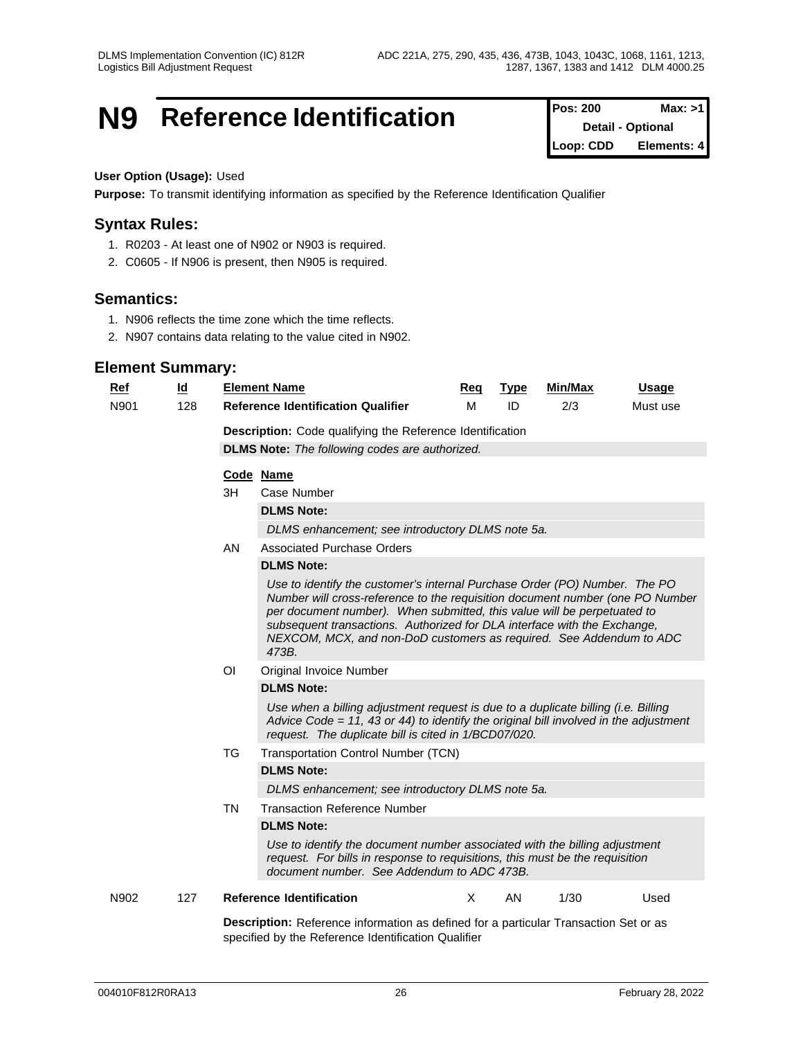## **N9** Reference Identification

| <b>Pos: 200</b>          | Max: >1     |
|--------------------------|-------------|
| <b>Detail - Optional</b> |             |
| Loop: CDD                | Elements: 4 |

#### **User Option (Usage):** Used

**Purpose:** To transmit identifying information as specified by the Reference Identification Qualifier

## **Syntax Rules:**

- 1. R0203 At least one of N902 or N903 is required.
- 2. C0605 If N906 is present, then N905 is required.

## **Semantics:**

- 1. N906 reflects the time zone which the time reflects.
- 2. N907 contains data relating to the value cited in N902.

## **Element Summary:**

| <u>Ref</u> | $\underline{\mathsf{Id}}$ |                                                           | <b>Element Name</b>                                                                                                                                                                                                                                                                                                                                                                                | Req | <b>Type</b> | <b>Min/Max</b> | <u>Usage</u> |  |  |  |  |
|------------|---------------------------|-----------------------------------------------------------|----------------------------------------------------------------------------------------------------------------------------------------------------------------------------------------------------------------------------------------------------------------------------------------------------------------------------------------------------------------------------------------------------|-----|-------------|----------------|--------------|--|--|--|--|
| N901       | 128                       |                                                           | <b>Reference Identification Qualifier</b>                                                                                                                                                                                                                                                                                                                                                          | M   | ID          | 2/3            | Must use     |  |  |  |  |
|            |                           | Description: Code qualifying the Reference Identification |                                                                                                                                                                                                                                                                                                                                                                                                    |     |             |                |              |  |  |  |  |
|            |                           |                                                           | <b>DLMS Note:</b> The following codes are authorized.                                                                                                                                                                                                                                                                                                                                              |     |             |                |              |  |  |  |  |
|            |                           | Code Name                                                 |                                                                                                                                                                                                                                                                                                                                                                                                    |     |             |                |              |  |  |  |  |
|            |                           |                                                           |                                                                                                                                                                                                                                                                                                                                                                                                    |     |             |                |              |  |  |  |  |
|            |                           | 3H                                                        | Case Number<br><b>DLMS Note:</b>                                                                                                                                                                                                                                                                                                                                                                   |     |             |                |              |  |  |  |  |
|            |                           |                                                           |                                                                                                                                                                                                                                                                                                                                                                                                    |     |             |                |              |  |  |  |  |
|            |                           |                                                           | DLMS enhancement; see introductory DLMS note 5a.                                                                                                                                                                                                                                                                                                                                                   |     |             |                |              |  |  |  |  |
|            |                           | AN                                                        | <b>Associated Purchase Orders</b><br><b>DLMS Note:</b>                                                                                                                                                                                                                                                                                                                                             |     |             |                |              |  |  |  |  |
|            |                           |                                                           |                                                                                                                                                                                                                                                                                                                                                                                                    |     |             |                |              |  |  |  |  |
|            |                           |                                                           | Use to identify the customer's internal Purchase Order (PO) Number. The PO<br>Number will cross-reference to the requisition document number (one PO Number<br>per document number). When submitted, this value will be perpetuated to<br>subsequent transactions. Authorized for DLA interface with the Exchange,<br>NEXCOM, MCX, and non-DoD customers as required. See Addendum to ADC<br>473B. |     |             |                |              |  |  |  |  |
|            |                           | ΟI                                                        | Original Invoice Number                                                                                                                                                                                                                                                                                                                                                                            |     |             |                |              |  |  |  |  |
|            |                           |                                                           | <b>DLMS Note:</b>                                                                                                                                                                                                                                                                                                                                                                                  |     |             |                |              |  |  |  |  |
|            |                           |                                                           | Use when a billing adjustment request is due to a duplicate billing (i.e. Billing<br>Advice Code = 11, 43 or 44) to identify the original bill involved in the adjustment<br>request. The duplicate bill is cited in 1/BCD07/020.                                                                                                                                                                  |     |             |                |              |  |  |  |  |
|            |                           | TG                                                        | <b>Transportation Control Number (TCN)</b>                                                                                                                                                                                                                                                                                                                                                         |     |             |                |              |  |  |  |  |
|            |                           |                                                           | <b>DLMS Note:</b>                                                                                                                                                                                                                                                                                                                                                                                  |     |             |                |              |  |  |  |  |
|            |                           |                                                           | DLMS enhancement; see introductory DLMS note 5a.                                                                                                                                                                                                                                                                                                                                                   |     |             |                |              |  |  |  |  |
|            |                           | <b>TN</b>                                                 | <b>Transaction Reference Number</b>                                                                                                                                                                                                                                                                                                                                                                |     |             |                |              |  |  |  |  |
|            |                           |                                                           | <b>DLMS Note:</b>                                                                                                                                                                                                                                                                                                                                                                                  |     |             |                |              |  |  |  |  |
|            |                           |                                                           | Use to identify the document number associated with the billing adjustment<br>request. For bills in response to requisitions, this must be the requisition<br>document number. See Addendum to ADC 473B.                                                                                                                                                                                           |     |             |                |              |  |  |  |  |
| N902       | 127                       |                                                           | <b>Reference Identification</b>                                                                                                                                                                                                                                                                                                                                                                    | X   | AN.         | 1/30           | Used         |  |  |  |  |
|            |                           |                                                           | <b>Description:</b> Reference information as defined for a particular Transaction Set or as                                                                                                                                                                                                                                                                                                        |     |             |                |              |  |  |  |  |

specified by the Reference Identification Qualifier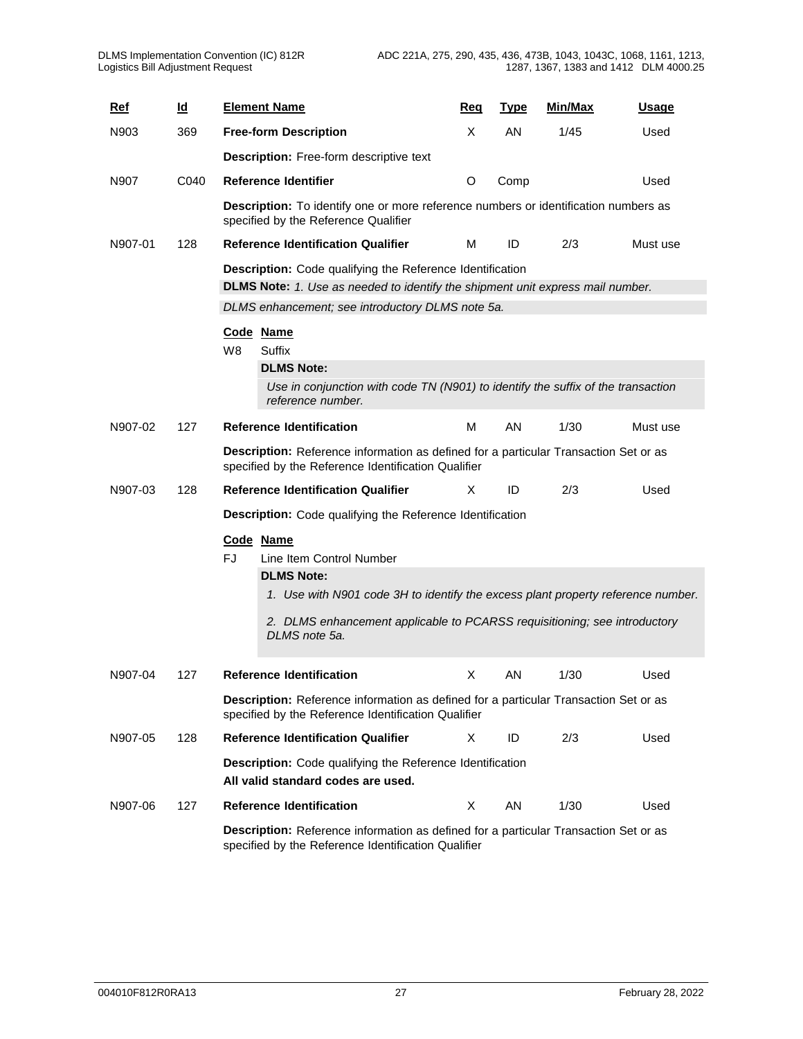| <b>Ref</b> | $\underline{\mathsf{Id}}$ |     | <b>Element Name</b>                                                                                                                         | Reg | <b>Type</b> | Min/Max | <u>Usage</u> |
|------------|---------------------------|-----|---------------------------------------------------------------------------------------------------------------------------------------------|-----|-------------|---------|--------------|
| N903       | 369                       |     | <b>Free-form Description</b>                                                                                                                | X   | AN          | 1/45    | Used         |
|            |                           |     | <b>Description:</b> Free-form descriptive text                                                                                              |     |             |         |              |
| N907       | C040                      |     | <b>Reference Identifier</b>                                                                                                                 | O   | Comp        |         | Used         |
|            |                           |     | <b>Description:</b> To identify one or more reference numbers or identification numbers as<br>specified by the Reference Qualifier          |     |             |         |              |
| N907-01    | 128                       |     | <b>Reference Identification Qualifier</b>                                                                                                   | M   | ID          | 2/3     | Must use     |
|            |                           |     | Description: Code qualifying the Reference Identification                                                                                   |     |             |         |              |
|            |                           |     | <b>DLMS Note:</b> 1. Use as needed to identify the shipment unit express mail number.                                                       |     |             |         |              |
|            |                           |     | DLMS enhancement; see introductory DLMS note 5a.                                                                                            |     |             |         |              |
|            |                           | W8  | Code Name<br><b>Suffix</b>                                                                                                                  |     |             |         |              |
|            |                           |     | <b>DLMS Note:</b>                                                                                                                           |     |             |         |              |
|            |                           |     | Use in conjunction with code TN (N901) to identify the suffix of the transaction<br>reference number.                                       |     |             |         |              |
| N907-02    | 127                       |     | <b>Reference Identification</b>                                                                                                             | м   | AN          | 1/30    | Must use     |
|            |                           |     | Description: Reference information as defined for a particular Transaction Set or as<br>specified by the Reference Identification Qualifier |     |             |         |              |
| N907-03    | 128                       |     | <b>Reference Identification Qualifier</b>                                                                                                   | Χ   | ID          | 2/3     | Used         |
|            |                           |     | Description: Code qualifying the Reference Identification                                                                                   |     |             |         |              |
|            |                           | FJ. | Code Name<br>Line Item Control Number                                                                                                       |     |             |         |              |
|            |                           |     | <b>DLMS Note:</b><br>1. Use with N901 code 3H to identify the excess plant property reference number.                                       |     |             |         |              |
|            |                           |     | 2. DLMS enhancement applicable to PCARSS requisitioning; see introductory<br>DLMS note 5a.                                                  |     |             |         |              |
| N907-04    | 127                       |     | <b>Reference Identification</b>                                                                                                             | X   | AN          | 1/30    | Used         |
|            |                           |     | Description: Reference information as defined for a particular Transaction Set or as<br>specified by the Reference Identification Qualifier |     |             |         |              |
| N907-05    | 128                       |     | <b>Reference Identification Qualifier</b>                                                                                                   | X   | ID          | 2/3     | Used         |
|            |                           |     | Description: Code qualifying the Reference Identification<br>All valid standard codes are used.                                             |     |             |         |              |
| N907-06    | 127                       |     | <b>Reference Identification</b>                                                                                                             | X   | AN          | 1/30    | Used         |
|            |                           |     | Description: Reference information as defined for a particular Transaction Set or as                                                        |     |             |         |              |
|            |                           |     | specified by the Reference Identification Qualifier                                                                                         |     |             |         |              |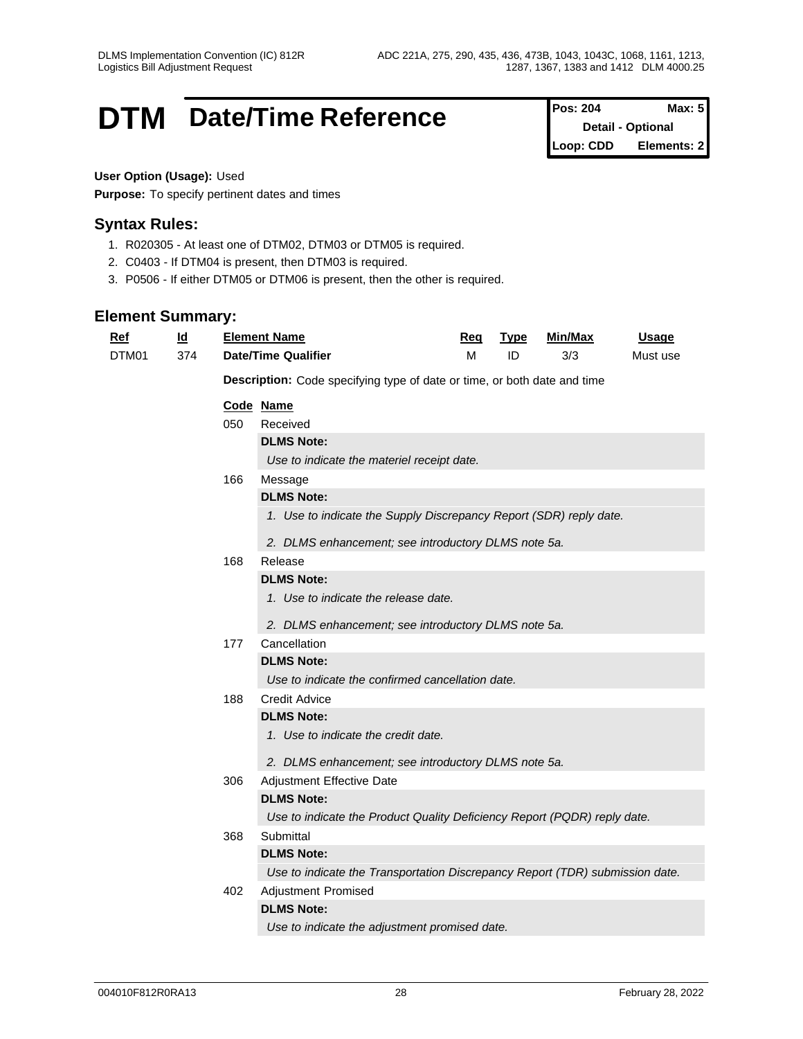## **DTM** Date/Time Reference **Pos: 204** Max: 5

| <b>Pos: 204</b> | Max: 5                   |
|-----------------|--------------------------|
|                 | <b>Detail - Optional</b> |
| Loop: CDD       | Elements: 2              |

## **User Option (Usage):** Used

**Purpose:** To specify pertinent dates and times

## **Syntax Rules:**

- 1. R020305 At least one of DTM02, DTM03 or DTM05 is required.
- 2. C0403 If DTM04 is present, then DTM03 is required.
- 3. P0506 If either DTM05 or DTM06 is present, then the other is required.

| Ref   | $\underline{\mathsf{Id}}$ |     | <b>Element Name</b>                                                          | Req | <b>Type</b> | <b>Min/Max</b> | <b>Usage</b> |
|-------|---------------------------|-----|------------------------------------------------------------------------------|-----|-------------|----------------|--------------|
| DTM01 | 374                       |     | <b>Date/Time Qualifier</b>                                                   | M   | ID          | 3/3            | Must use     |
|       |                           |     | Description: Code specifying type of date or time, or both date and time     |     |             |                |              |
|       |                           |     | Code Name                                                                    |     |             |                |              |
|       |                           | 050 | Received                                                                     |     |             |                |              |
|       |                           |     | <b>DLMS Note:</b>                                                            |     |             |                |              |
|       |                           |     | Use to indicate the materiel receipt date.                                   |     |             |                |              |
|       |                           | 166 | Message                                                                      |     |             |                |              |
|       |                           |     | <b>DLMS Note:</b>                                                            |     |             |                |              |
|       |                           |     | 1. Use to indicate the Supply Discrepancy Report (SDR) reply date.           |     |             |                |              |
|       |                           |     | 2. DLMS enhancement; see introductory DLMS note 5a.                          |     |             |                |              |
|       |                           | 168 | Release                                                                      |     |             |                |              |
|       |                           |     | <b>DLMS Note:</b>                                                            |     |             |                |              |
|       |                           |     | 1. Use to indicate the release date.                                         |     |             |                |              |
|       |                           |     | 2. DLMS enhancement; see introductory DLMS note 5a.                          |     |             |                |              |
|       |                           | 177 | Cancellation                                                                 |     |             |                |              |
|       |                           |     | <b>DLMS Note:</b>                                                            |     |             |                |              |
|       |                           |     | Use to indicate the confirmed cancellation date.                             |     |             |                |              |
|       |                           | 188 | <b>Credit Advice</b>                                                         |     |             |                |              |
|       |                           |     | <b>DLMS Note:</b>                                                            |     |             |                |              |
|       |                           |     | 1. Use to indicate the credit date.                                          |     |             |                |              |
|       |                           |     | 2. DLMS enhancement; see introductory DLMS note 5a.                          |     |             |                |              |
|       |                           | 306 | Adjustment Effective Date                                                    |     |             |                |              |
|       |                           |     | <b>DLMS Note:</b>                                                            |     |             |                |              |
|       |                           |     | Use to indicate the Product Quality Deficiency Report (PQDR) reply date.     |     |             |                |              |
|       |                           | 368 | Submittal                                                                    |     |             |                |              |
|       |                           |     | <b>DLMS Note:</b>                                                            |     |             |                |              |
|       |                           |     | Use to indicate the Transportation Discrepancy Report (TDR) submission date. |     |             |                |              |
|       |                           | 402 | Adjustment Promised                                                          |     |             |                |              |
|       |                           |     | <b>DLMS Note:</b>                                                            |     |             |                |              |
|       |                           |     | Use to indicate the adjustment promised date.                                |     |             |                |              |
|       |                           |     |                                                                              |     |             |                |              |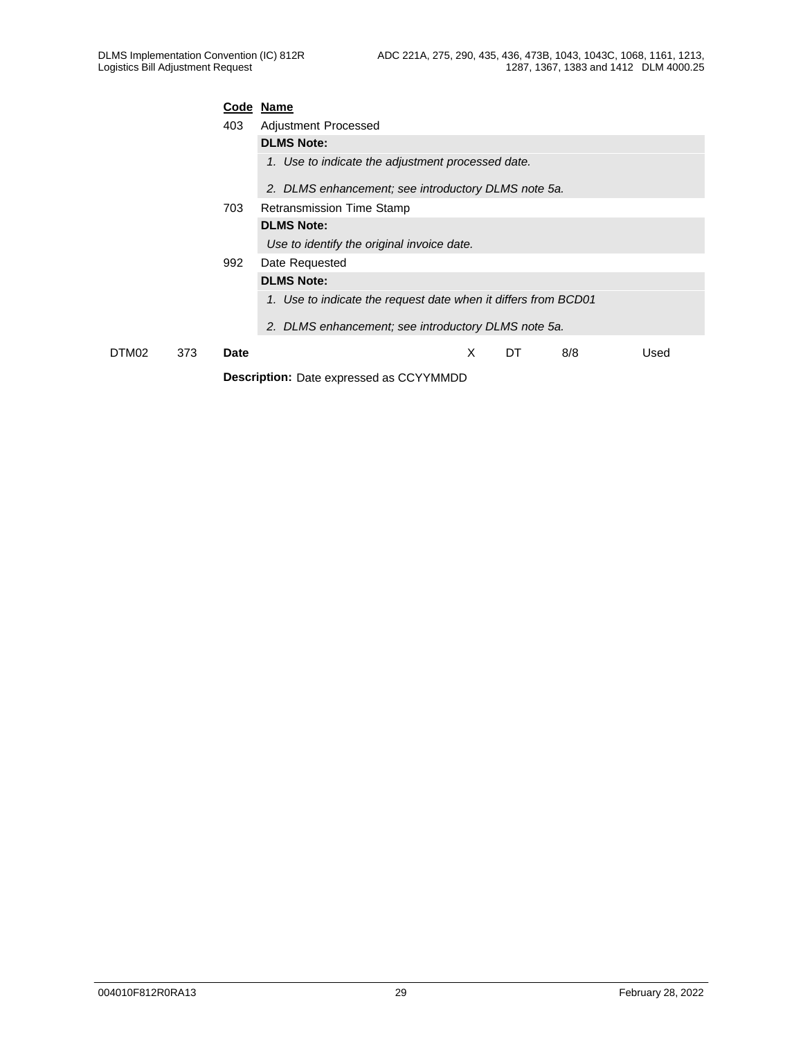|       |     | Code Name   |                                                                |
|-------|-----|-------------|----------------------------------------------------------------|
|       |     | 403         | Adjustment Processed                                           |
|       |     |             | <b>DLMS Note:</b>                                              |
|       |     |             | 1. Use to indicate the adjustment processed date.              |
|       |     |             | 2. DLMS enhancement; see introductory DLMS note 5a.            |
|       |     | 703         | Retransmission Time Stamp                                      |
|       |     |             | <b>DLMS Note:</b>                                              |
|       |     |             | Use to identify the original invoice date.                     |
|       |     | 992         | Date Requested                                                 |
|       |     |             | <b>DLMS Note:</b>                                              |
|       |     |             | 1. Use to indicate the request date when it differs from BCD01 |
|       |     |             | 2. DLMS enhancement; see introductory DLMS note 5a.            |
| DTM02 | 373 | <b>Date</b> | X<br>DT<br>8/8<br>Used                                         |
|       |     |             | <b>Description:</b> Date expressed as CCYYMMDD                 |
|       |     |             |                                                                |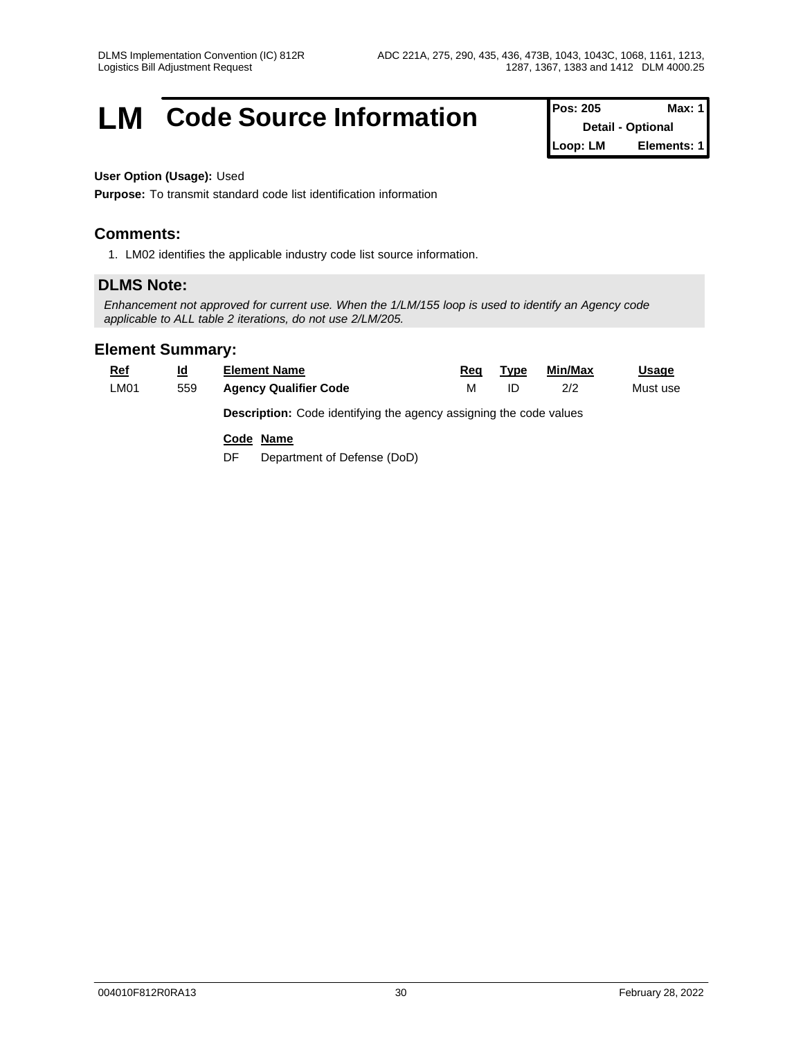## **LM** Code Source Information **Pos:** 205 Max: 1

**Detail - Optional Loop: LM Elements: 1**

## **User Option (Usage):** Used

**Purpose:** To transmit standard code list identification information

## **Comments:**

1. LM02 identifies the applicable industry code list source information.

## **DLMS Note:**

*Enhancement not approved for current use. When the 1/LM/155 loop is used to identify an Agency code applicable to ALL table 2 iterations, do not use 2/LM/205.*

| <b>Ref</b> | <u>ld</u> | <b>Element Name</b>                                                       | Req | Type | Min/Max | <u>Usage</u> |
|------------|-----------|---------------------------------------------------------------------------|-----|------|---------|--------------|
| LM01       | 559       | <b>Agency Qualifier Code</b>                                              | М   | ID   | 2/2     | Must use     |
|            |           | <b>Description:</b> Code identifying the agency assigning the code values |     |      |         |              |
|            |           | Code Name                                                                 |     |      |         |              |
|            |           | Department of Defense (DoD)<br>DF                                         |     |      |         |              |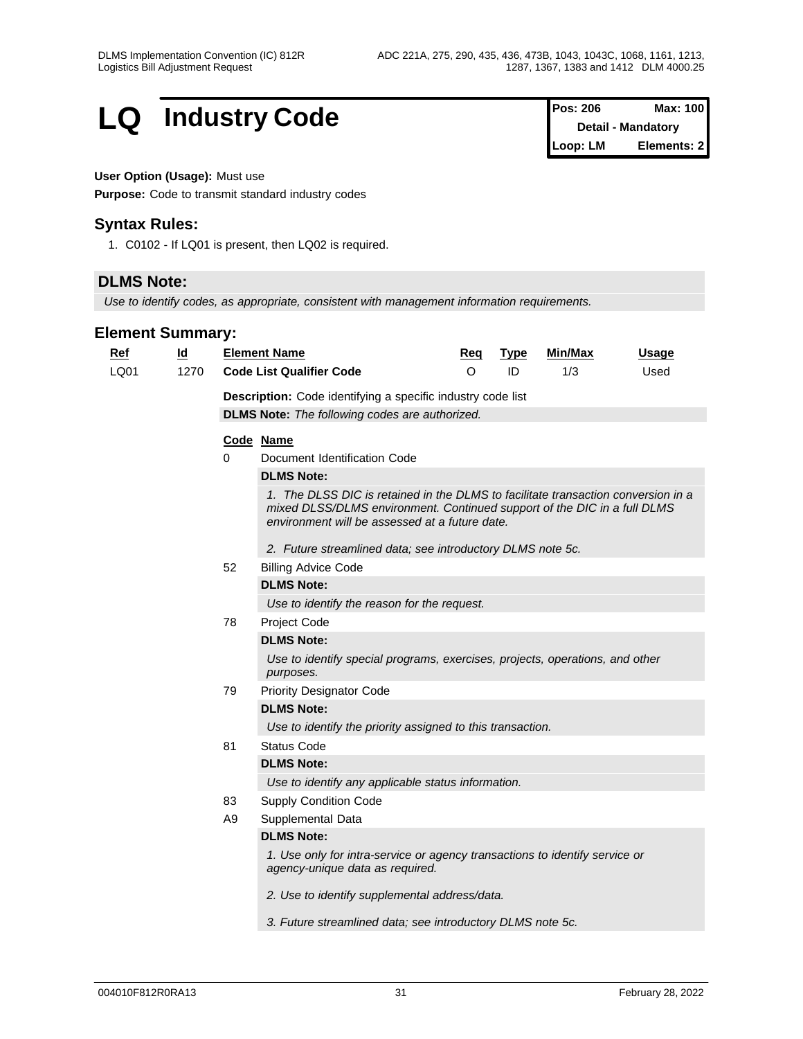## **LQ** Industry Code

| <b>Pos: 206</b> | Max: 100                  |
|-----------------|---------------------------|
|                 | <b>Detail - Mandatory</b> |
| Loop: LM        | Elements: 21              |

### **User Option (Usage):** Must use

**Purpose:** Code to transmit standard industry codes

## **Syntax Rules:**

1. C0102 - If LQ01 is present, then LQ02 is required.

## **DLMS Note:**

*Use to identify codes, as appropriate, consistent with management information requirements.*

| Ref  | $\underline{\mathsf{Id}}$ |                   | <b>Element Name</b>                                                                                                                                                                                             | Req     | <b>Type</b> | Min/Max | <b>Usage</b> |  |  |  |  |
|------|---------------------------|-------------------|-----------------------------------------------------------------------------------------------------------------------------------------------------------------------------------------------------------------|---------|-------------|---------|--------------|--|--|--|--|
| LQ01 | 1270                      |                   | <b>Code List Qualifier Code</b>                                                                                                                                                                                 | $\circ$ | ID          | 1/3     | Used         |  |  |  |  |
|      |                           |                   | Description: Code identifying a specific industry code list                                                                                                                                                     |         |             |         |              |  |  |  |  |
|      |                           |                   | <b>DLMS Note:</b> The following codes are authorized.                                                                                                                                                           |         |             |         |              |  |  |  |  |
|      |                           |                   | Code Name                                                                                                                                                                                                       |         |             |         |              |  |  |  |  |
|      |                           | 0                 | Document Identification Code                                                                                                                                                                                    |         |             |         |              |  |  |  |  |
|      |                           |                   | <b>DLMS Note:</b>                                                                                                                                                                                               |         |             |         |              |  |  |  |  |
|      |                           |                   | 1. The DLSS DIC is retained in the DLMS to facilitate transaction conversion in a<br>mixed DLSS/DLMS environment. Continued support of the DIC in a full DLMS<br>environment will be assessed at a future date. |         |             |         |              |  |  |  |  |
|      |                           |                   | 2. Future streamlined data; see introductory DLMS note 5c.                                                                                                                                                      |         |             |         |              |  |  |  |  |
|      |                           | 52                | <b>Billing Advice Code</b>                                                                                                                                                                                      |         |             |         |              |  |  |  |  |
|      |                           | <b>DLMS Note:</b> |                                                                                                                                                                                                                 |         |             |         |              |  |  |  |  |
|      |                           |                   | Use to identify the reason for the request.                                                                                                                                                                     |         |             |         |              |  |  |  |  |
|      |                           | 78                | Project Code                                                                                                                                                                                                    |         |             |         |              |  |  |  |  |
|      |                           |                   | <b>DLMS Note:</b>                                                                                                                                                                                               |         |             |         |              |  |  |  |  |
|      |                           |                   | Use to identify special programs, exercises, projects, operations, and other<br>purposes.                                                                                                                       |         |             |         |              |  |  |  |  |
|      |                           | 79                | <b>Priority Designator Code</b>                                                                                                                                                                                 |         |             |         |              |  |  |  |  |
|      |                           |                   | <b>DLMS Note:</b>                                                                                                                                                                                               |         |             |         |              |  |  |  |  |
|      |                           |                   | Use to identify the priority assigned to this transaction.                                                                                                                                                      |         |             |         |              |  |  |  |  |
|      |                           | 81                | <b>Status Code</b>                                                                                                                                                                                              |         |             |         |              |  |  |  |  |
|      |                           |                   | <b>DLMS Note:</b>                                                                                                                                                                                               |         |             |         |              |  |  |  |  |
|      |                           |                   | Use to identify any applicable status information.                                                                                                                                                              |         |             |         |              |  |  |  |  |
|      |                           | 83                | <b>Supply Condition Code</b>                                                                                                                                                                                    |         |             |         |              |  |  |  |  |
|      |                           | A <sub>9</sub>    | Supplemental Data                                                                                                                                                                                               |         |             |         |              |  |  |  |  |
|      |                           |                   | <b>DLMS Note:</b>                                                                                                                                                                                               |         |             |         |              |  |  |  |  |
|      |                           |                   | 1. Use only for intra-service or agency transactions to identify service or<br>agency-unique data as required.                                                                                                  |         |             |         |              |  |  |  |  |
|      |                           |                   | 2. Use to identify supplemental address/data.                                                                                                                                                                   |         |             |         |              |  |  |  |  |
|      |                           |                   | 3. Future streamlined data; see introductory DLMS note 5c.                                                                                                                                                      |         |             |         |              |  |  |  |  |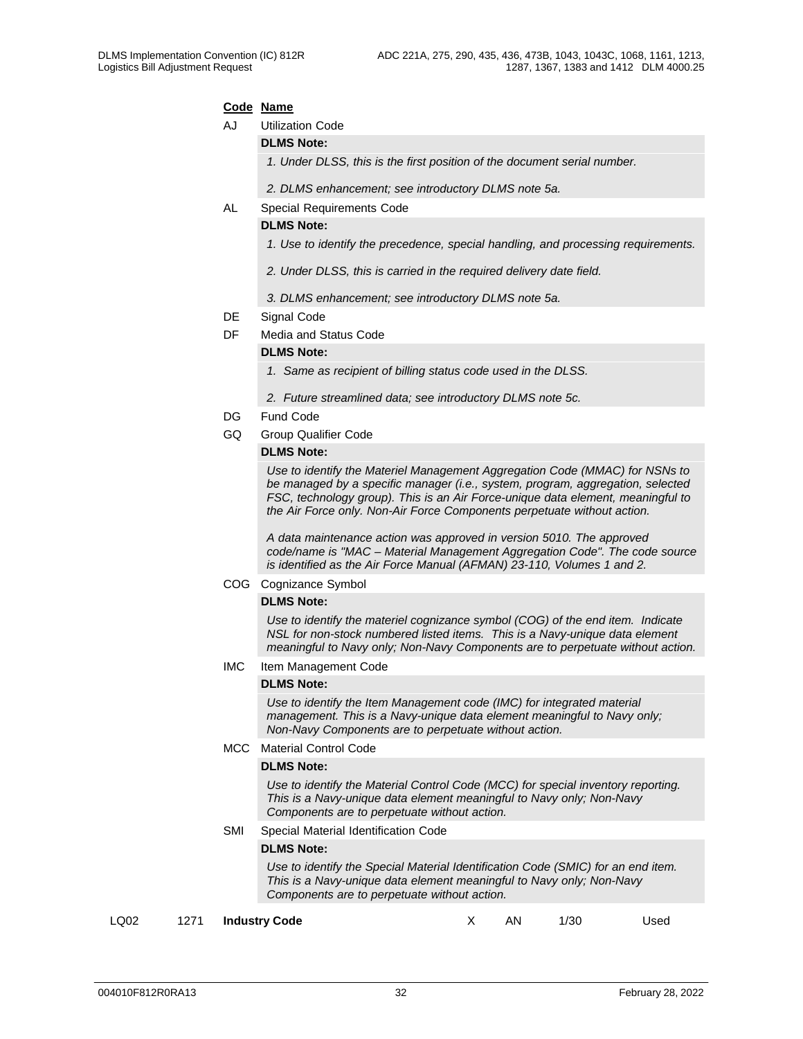#### **Code Name**

AJ Utilization Code

#### **DLMS Note:**

*1. Under DLSS, this is the first position of the document serial number.*

*2. DLMS enhancement; see introductory DLMS note 5a.* 

#### AL Special Requirements Code

#### **DLMS Note:**

- *1. Use to identify the precedence, special handling, and processing requirements.*
- *2. Under DLSS, this is carried in the required delivery date field.*
- *3. DLMS enhancement; see introductory DLMS note 5a.*
- DE Signal Code
- DF Media and Status Code

#### **DLMS Note:**

- *1. Same as recipient of billing status code used in the DLSS.*
- *2. Future streamlined data; see introductory DLMS note 5c.*
- DG Fund Code
- GQ Group Qualifier Code

#### **DLMS Note:**

*Use to identify the Materiel Management Aggregation Code (MMAC) for NSNs to be managed by a specific manager (i.e., system, program, aggregation, selected FSC, technology group). This is an Air Force-unique data element, meaningful to the Air Force only. Non-Air Force Components perpetuate without action.*

*A data maintenance action was approved in version 5010. The approved code/name is "MAC – Material Management Aggregation Code". The code source is identified as the Air Force Manual (AFMAN) 23-110, Volumes 1 and 2.*

COG Cognizance Symbol

#### **DLMS Note:**

*Use to identify the materiel cognizance symbol (COG) of the end item. Indicate NSL for non-stock numbered listed items. This is a Navy-unique data element meaningful to Navy only; Non-Navy Components are to perpetuate without action.* 

IMC Item Management Code

#### **DLMS Note:**

*Use to identify the Item Management code (IMC) for integrated material management. This is a Navy-unique data element meaningful to Navy only; Non-Navy Components are to perpetuate without action.* 

MCC Material Control Code

#### **DLMS Note:**

*Use to identify the Material Control Code (MCC) for special inventory reporting. This is a Navy-unique data element meaningful to Navy only; Non-Navy Components are to perpetuate without action.* 

SMI Special Material Identification Code

#### **DLMS Note:**

*Use to identify the Special Material Identification Code (SMIC) for an end item. This is a Navy-unique data element meaningful to Navy only; Non-Navy Components are to perpetuate without action.* 

LQ02 1271 **Industry Code** X AN 1/30 Used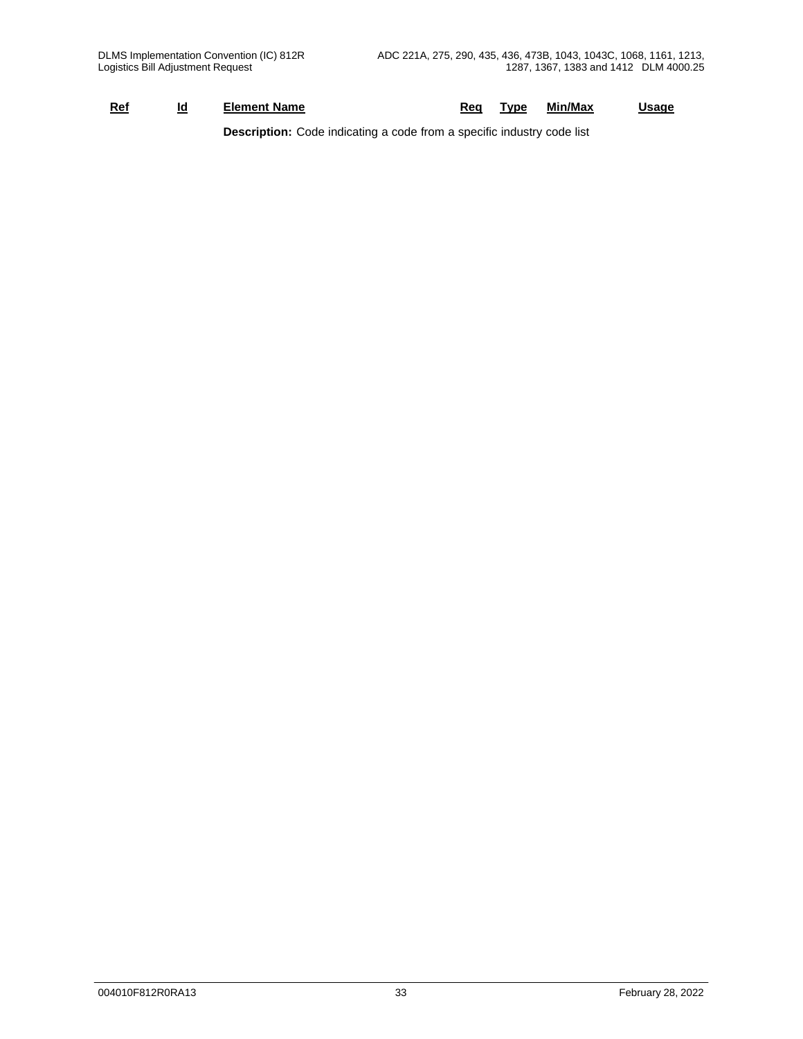| Min/Max<br>Usaɑe<br>Red<br>and the second state of the second state of the second state of the second state in the second state in the second state in the second state in the second state in the second state in the second state in the second state i<br>Name<br>`vpe<br>lement<br>Id |  |
|-------------------------------------------------------------------------------------------------------------------------------------------------------------------------------------------------------------------------------------------------------------------------------------------|--|
|-------------------------------------------------------------------------------------------------------------------------------------------------------------------------------------------------------------------------------------------------------------------------------------------|--|

**Description:** Code indicating a code from a specific industry code list